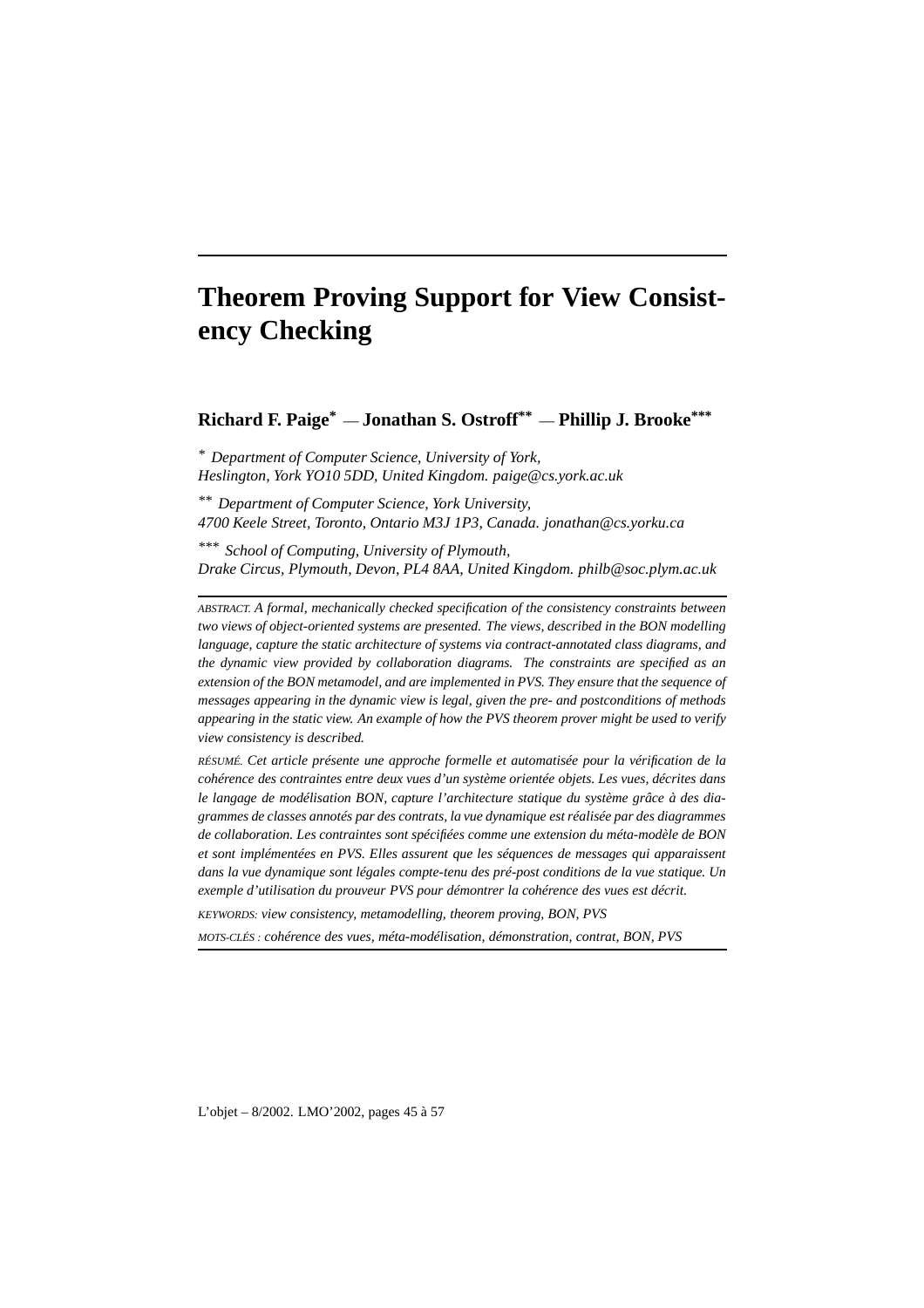# **Theorem Proving Support for View Consistency Checking**

**Richard F. Paige\*** — **Jonathan S. Ostroff\*\*** — **Phillip J. Brooke \*\*\***

*\* Department of Computer Science, University of York, Heslington, York YO10 5DD, United Kingdom. paige@cs.york.ac.uk*

*\*\* Department of Computer Science, York University, 4700 Keele Street, Toronto, Ontario M3J 1P3, Canada. jonathan@cs.yorku.ca*

*\*\*\* School of Computing, University of Plymouth, Drake Circus, Plymouth, Devon, PL4 8AA, United Kingdom. philb@soc.plym.ac.uk*

*ABSTRACT. A formal, mechanically checked specification of the consistency constraints between two views of object-oriented systems are presented. The views, described in the BON modelling language, capture the static architecture of systems via contract-annotated class diagrams, and the dynamic view provided by collaboration diagrams. The constraints are specified as an extension of the BON metamodel, and are implemented in PVS. They ensure that the sequence of messages appearing in the dynamic view is legal, given the pre- and postconditions of methods appearing in the static view. An example of how the PVS theorem prover might be used to verify view consistency is described.*

*RÉSUMÉ. Cet article présente une approche formelle et automatisée pour la vérification de la cohérence des contraintes entre deux vues d'un système orientée objets. Les vues, décrites dans le langage de modélisation BON, capture l'architecture statique du système grâce à des diagrammes de classes annotés par des contrats, la vue dynamique estréalisée par des diagrammes de collaboration. Les contraintes sont spécifiées comme une extension du méta-modèle de BON et sont implémentées en PVS. Elles assurent que les séquences de messages qui apparaissent dans la vue dynamique sont légales compte-tenu des pré-post conditions de la vue statique. Un exemple d'utilisation du prouveur PVS pour démontrer la cohérence des vues est décrit.*

*KEYWORDS: view consistency, metamodelling, theorem proving, BON, PVS*

*MOTS-CLÉS : cohérence des vues, méta-modélisation, démonstration, contrat, BON, PVS*

L'objet – 8/2002. LMO'2002, pages 45 à 57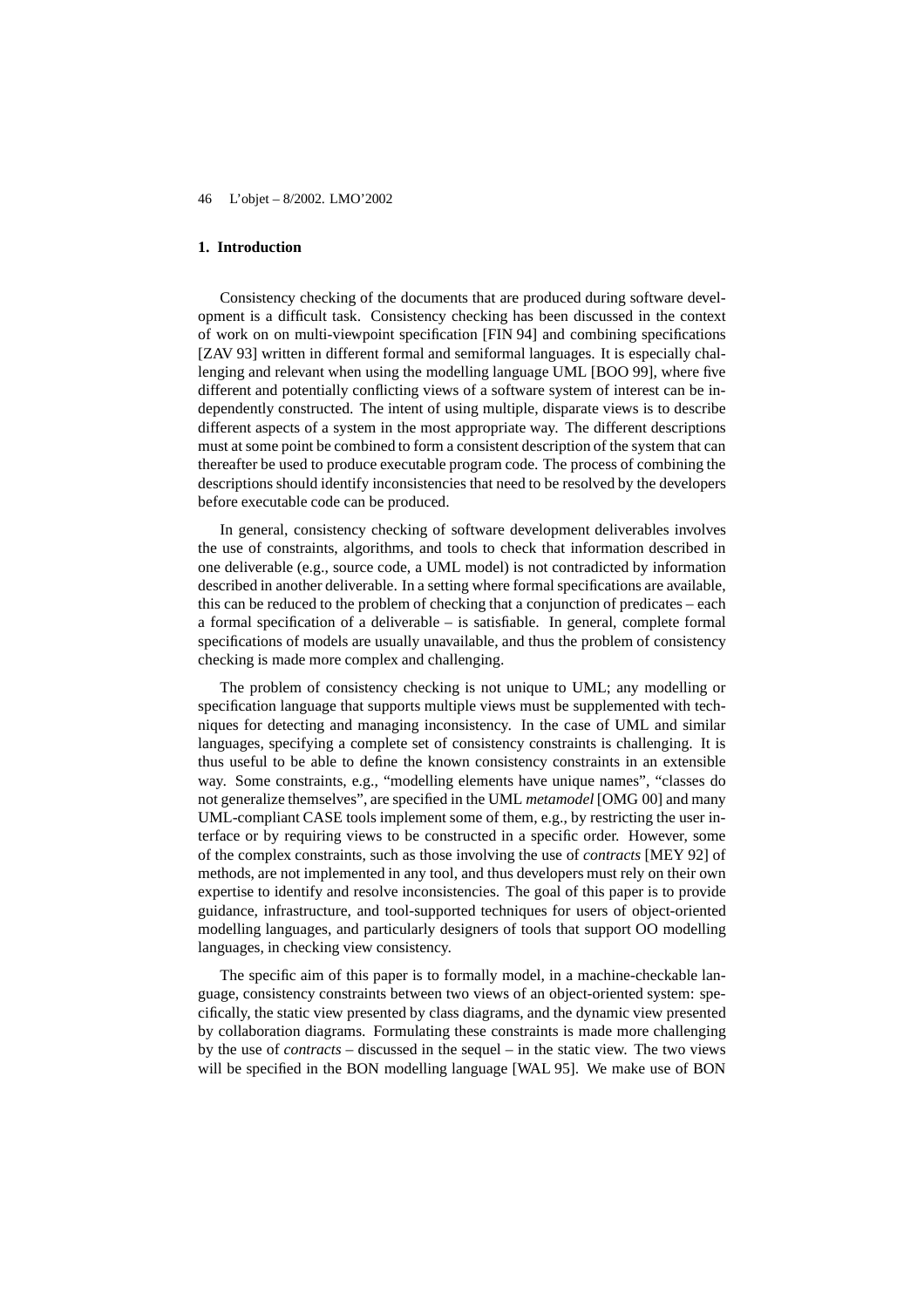## **1. Introduction**

Consistency checking of the documents that are produced during software development is a difficult task. Consistency checking has been discussed in the context of work on on multi-viewpoint specification [FIN 94] and combining specifications [ZAV 93] written in different formal and semiformal languages. It is especially challenging and relevant when using the modelling language UML [BOO 99], where five different and potentially conflicting views of a software system of interest can be independently constructed. The intent of using multiple, disparate views is to describe different aspects of a system in the most appropriate way. The different descriptions must at some point be combined to form a consistent description of the system that can thereafter be used to produce executable program code. The process of combining the descriptions should identify inconsistencies that need to be resolved by the developers before executable code can be produced.

In general, consistency checking of software development deliverables involves the use of constraints, algorithms, and tools to check that information described in one deliverable (e.g., source code, a UML model) is not contradicted by information described in another deliverable. In a setting where formal specifications are available, this can be reduced to the problem of checking that a conjunction of predicates – each a formal specification of a deliverable – is satisfiable. In general, complete formal specifications of models are usually unavailable, and thus the problem of consistency checking is made more complex and challenging.

The problem of consistency checking is not unique to UML; any modelling or specification language that supports multiple views must be supplemented with techniques for detecting and managing inconsistency. In the case of UML and similar languages, specifying a complete set of consistency constraints is challenging. It is thus useful to be able to define the known consistency constraints in an extensible way. Some constraints, e.g., "modelling elements have unique names", "classes do not generalize themselves", are specified in the UML *metamodel* [OMG 00] and many UML-compliant CASE tools implement some of them, e.g., by restricting the user interface or by requiring views to be constructed in a specific order. However, some of the complex constraints, such as those involving the use of *contracts* [MEY 92] of methods, are not implemented in any tool, and thus developers must rely on their own expertise to identify and resolve inconsistencies. The goal of this paper is to provide guidance, infrastructure, and tool-supported techniques for users of object-oriented modelling languages, and particularly designers of tools that support OO modelling languages, in checking view consistency.

The specific aim of this paper is to formally model, in a machine-checkable language, consistency constraints between two views of an object-oriented system: specifically, the static view presented by class diagrams, and the dynamic view presented by collaboration diagrams. Formulating these constraints is made more challenging by the use of *contracts* – discussed in the sequel – in the static view. The two views will be specified in the BON modelling language [WAL 95]. We make use of BON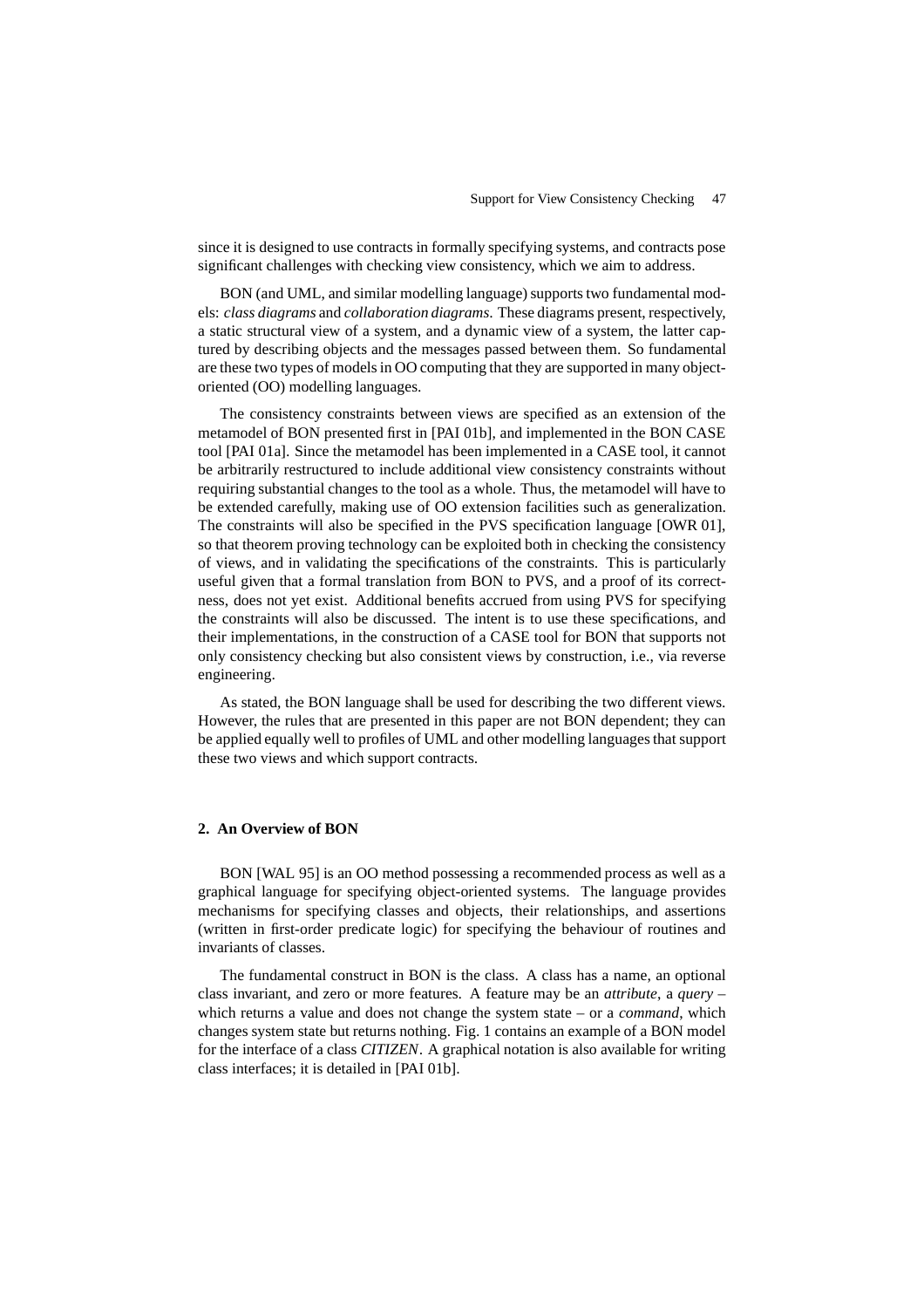since it is designed to use contracts in formally specifying systems, and contracts pose significant challenges with checking view consistency, which we aim to address.

BON (and UML, and similar modelling language) supports two fundamental models: *class diagrams* and *collaboration diagrams*. These diagrams present, respectively, a static structural view of a system, and a dynamic view of a system, the latter captured by describing objects and the messages passed between them. So fundamental are these two types of modelsin OO computing that they are supported in many objectoriented (OO) modelling languages.

The consistency constraints between views are specified as an extension of the metamodel of BON presented first in [PAI 01b], and implemented in the BON CASE tool [PAI 01a]. Since the metamodel has been implemented in a CASE tool, it cannot be arbitrarily restructured to include additional view consistency constraints without requiring substantial changes to the tool as a whole. Thus, the metamodel will have to be extended carefully, making use of OO extension facilities such as generalization. The constraints will also be specified in the PVS specification language [OWR 01], so that theorem proving technology can be exploited both in checking the consistency of views, and in validating the specifications of the constraints. This is particularly useful given that a formal translation from BON to PVS, and a proof of its correctness, does not yet exist. Additional benefits accrued from using PVS for specifying the constraints will also be discussed. The intent is to use these specifications, and their implementations, in the construction of a CASE tool for BON that supports not only consistency checking but also consistent views by construction, i.e., via reverse engineering.

As stated, the BON language shall be used for describing the two different views. However, the rules that are presented in this paper are not BON dependent; they can be applied equally well to profiles of UML and other modelling languagesthat support these two views and which support contracts.

## **2. An Overview of BON**

BON [WAL 95] is an OO method possessing a recommended process as well as a graphical language for specifying object-oriented systems. The language provides mechanisms for specifying classes and objects, their relationships, and assertions (written in first-order predicate logic) for specifying the behaviour of routines and invariants of classes.

The fundamental construct in BON is the class. A class has a name, an optional class invariant, and zero or more features. A feature may be an *attribute*, a *query* – which returns a value and does not change the system state – or a *command*, which changes system state but returns nothing. Fig. 1 contains an example of a BON model for the interface of a class *CITIZEN*. A graphical notation is also available for writing class interfaces; it is detailed in [PAI 01b].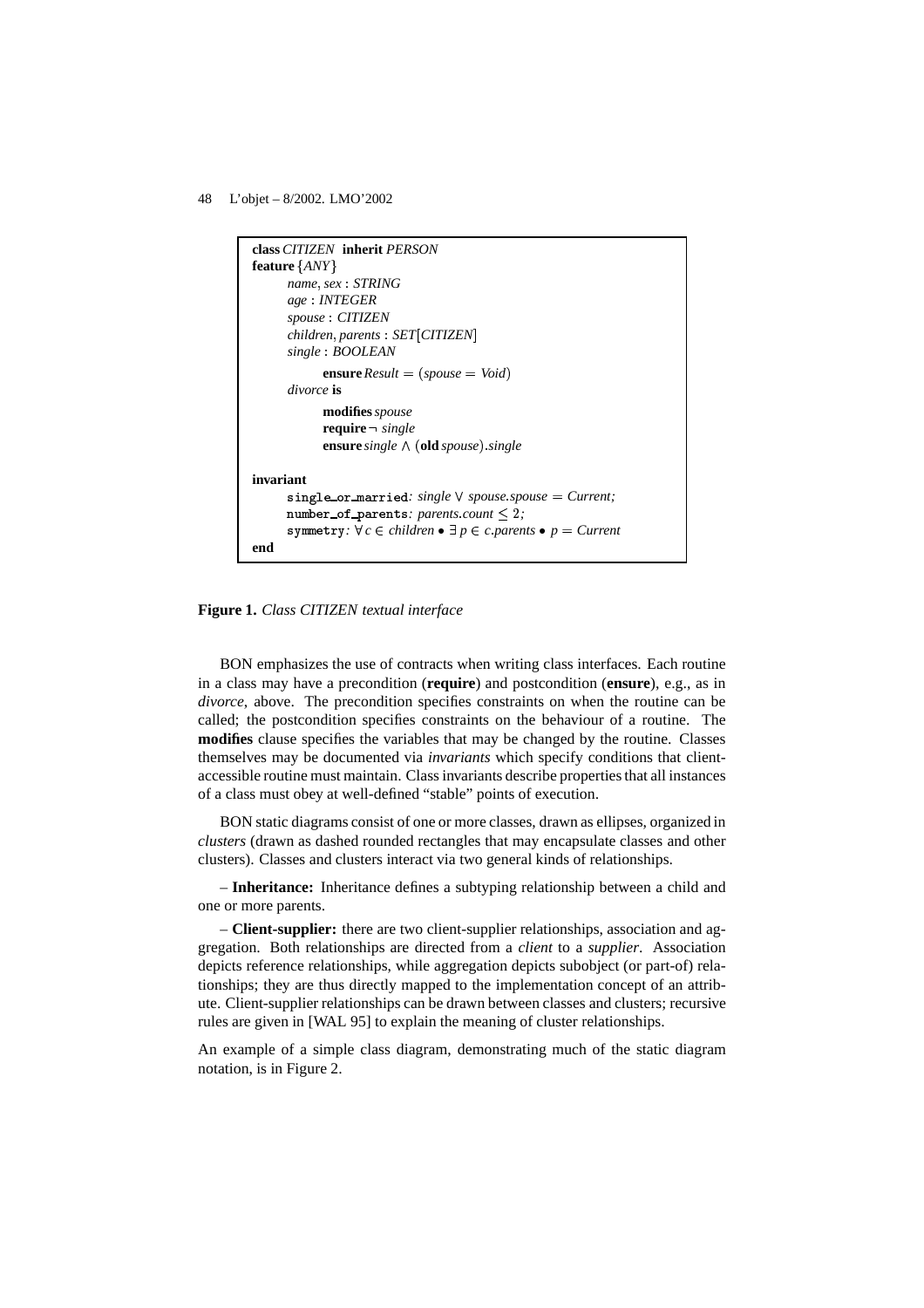

**Figure 1.** *Class CITIZEN textual interface*

BON emphasizes the use of contracts when writing class interfaces. Each routine in a class may have a precondition (**require**) and postcondition (**ensure**), e.g., as in *divorce*, above. The precondition specifies constraints on when the routine can be called; the postcondition specifies constraints on the behaviour of a routine. The **modifies** clause specifies the variables that may be changed by the routine. Classes themselves may be documented via *invariants* which specify conditions that clientaccessible routine must maintain. Class invariants describe propertiesthat all instances of a class must obey at well-defined "stable" points of execution.

BON static diagrams consist of one or more classes, drawn as ellipses, organized in *clusters* (drawn as dashed rounded rectangles that may encapsulate classes and other clusters). Classes and clusters interact via two general kinds of relationships.

– **Inheritance:** Inheritance defines a subtyping relationship between a child and one or more parents.

– **Client-supplier:** there are two client-supplier relationships, association and aggregation. Both relationships are directed from a *client* to a *supplier*. Association depicts reference relationships, while aggregation depicts subobject (or part-of) relationships; they are thus directly mapped to the implementation concept of an attribute. Client-supplier relationships can be drawn between classes and clusters; recursive rules are given in [WAL 95] to explain the meaning of cluster relationships.

An example of a simple class diagram, demonstrating much of the static diagram notation, is in Figure 2.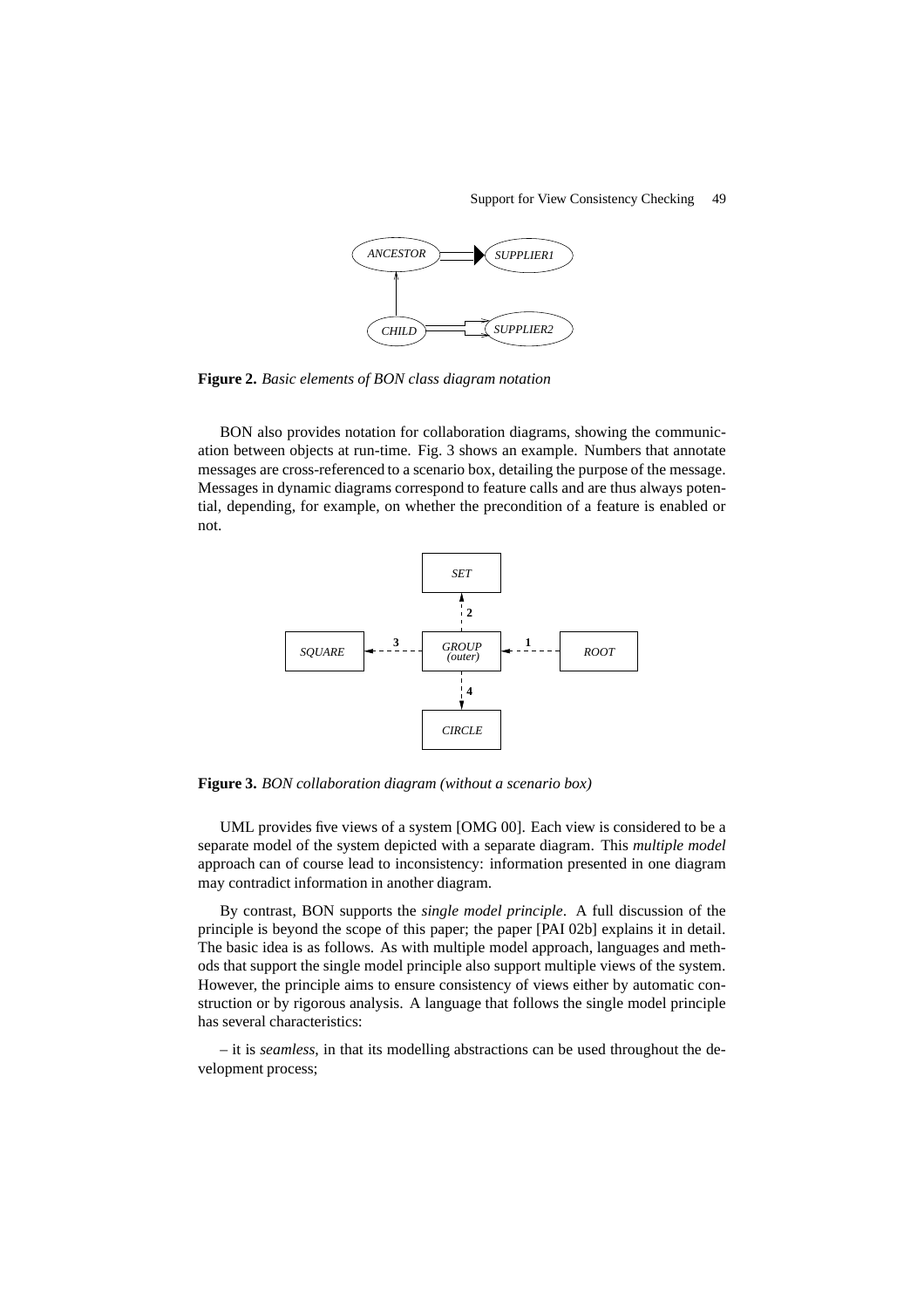

**Figure 2.** *Basic elements of BON class diagram notation*

BON also provides notation for collaboration diagrams, showing the communication between objects at run-time. Fig. 3 shows an example. Numbers that annotate messages are cross-referenced to a scenario box, detailing the purpose of the message. Messages in dynamic diagrams correspond to feature calls and are thus always potential, depending, for example, on whether the precondition of a feature is enabled or not.



**Figure 3.** *BON collaboration diagram (without a scenario box)*

UML provides five views of a system [OMG 00]. Each view is considered to be a separate model of the system depicted with a separate diagram. This *multiple model* approach can of course lead to inconsistency: information presented in one diagram may contradict information in another diagram.

By contrast, BON supports the *single model principle*. A full discussion of the principle is beyond the scope of this paper; the paper [PAI 02b] explains it in detail. The basic idea is as follows. As with multiple model approach, languages and methods that support the single model principle also support multiple views of the system. However, the principle aims to ensure consistency of views either by automatic construction or by rigorous analysis. A language that follows the single model principle has several characteristics:

– it is *seamless*, in that its modelling abstractions can be used throughout the development process;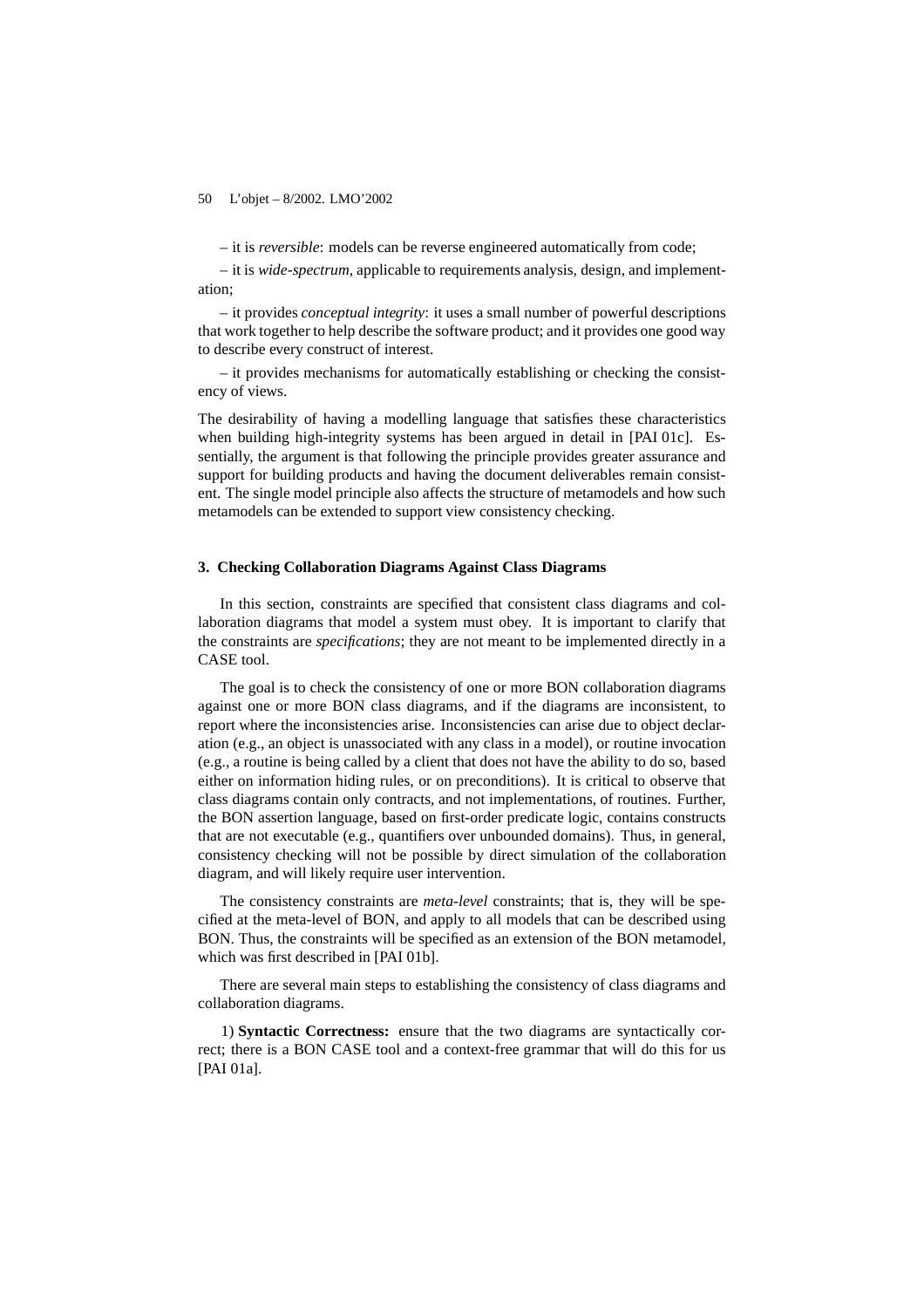– it is *reversible*: models can be reverse engineered automatically from code;

– it is *wide-spectrum*, applicable to requirements analysis, design, and implementation;

– it provides *conceptual integrity*: it uses a small number of powerful descriptions that work together to help describe the software product; and it provides one good way to describe every construct of interest.

– it provides mechanisms for automatically establishing or checking the consistency of views.

The desirability of having a modelling language that satisfies these characteristics when building high-integrity systems has been argued in detail in [PAI 01c]. Essentially, the argument is that following the principle provides greater assurance and support for building products and having the document deliverables remain consistent. The single model principle also affects the structure of metamodels and how such metamodels can be extended to support view consistency checking.

## **3. Checking Collaboration Diagrams Against Class Diagrams**

In this section, constraints are specified that consistent class diagrams and collaboration diagrams that model a system must obey. It is important to clarify that the constraints are *specifications*; they are not meant to be implemented directly in a CASE tool.

The goal is to check the consistency of one or more BON collaboration diagrams against one or more BON class diagrams, and if the diagrams are inconsistent, to report where the inconsistencies arise. Inconsistencies can arise due to object declaration (e.g., an object is unassociated with any class in a model), or routine invocation (e.g., a routine is being called by a client that does not have the ability to do so, based either on information hiding rules, or on preconditions). It is critical to observe that class diagrams contain only contracts, and not implementations, of routines. Further, the BON assertion language, based on first-order predicate logic, contains constructs that are not executable (e.g., quantifiers over unbounded domains). Thus, in general, consistency checking will not be possible by direct simulation of the collaboration diagram, and will likely require user intervention.

The consistency constraints are *meta-level* constraints; that is, they will be specified at the meta-level of BON, and apply to all models that can be described using BON. Thus, the constraints will be specified as an extension of the BON metamodel, which was first described in [PAI 01b].

There are several main steps to establishing the consistency of class diagrams and collaboration diagrams.

1) **Syntactic Correctness:** ensure that the two diagrams are syntactically correct; there is a BON CASE tool and a context-free grammar that will do this for us [PAI 01a].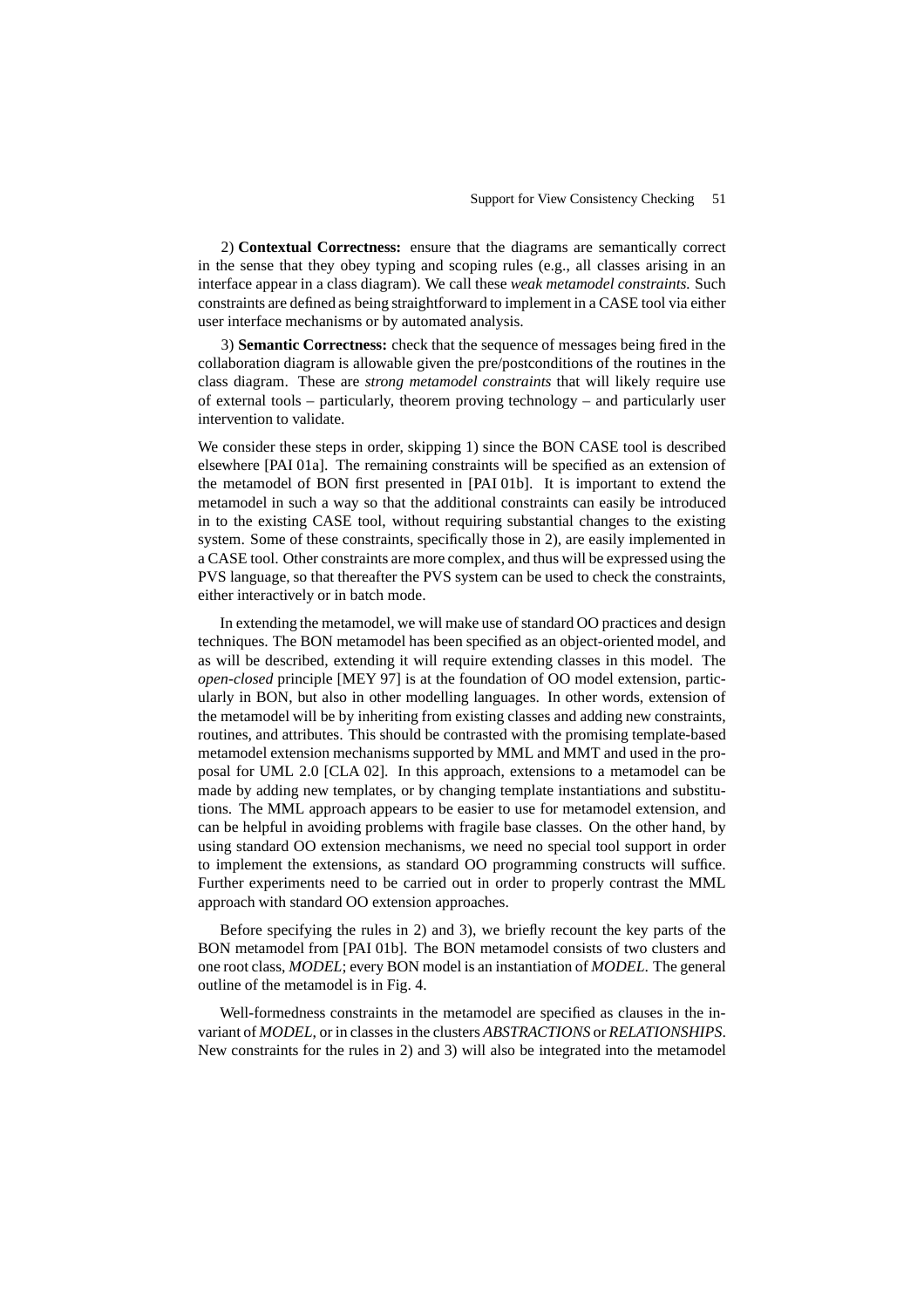2) **Contextual Correctness:** ensure that the diagrams are semantically correct in the sense that they obey typing and scoping rules (e.g., all classes arising in an interface appear in a class diagram). We call these *weak metamodel constraints.* Such constraints are defined as being straightforward to implement in a CASE tool via either user interface mechanisms or by automated analysis.

3) **Semantic Correctness:** check that the sequence of messages being fired in the collaboration diagram is allowable given the pre/postconditions of the routines in the class diagram. These are *strong metamodel constraints* that will likely require use of external tools – particularly, theorem proving technology – and particularly user intervention to validate.

We consider these steps in order, skipping 1) since the BON CASE tool is described elsewhere [PAI 01a]. The remaining constraints will be specified as an extension of the metamodel of BON first presented in [PAI 01b]. It is important to extend the metamodel in such a way so that the additional constraints can easily be introduced in to the existing CASE tool, without requiring substantial changes to the existing system. Some of these constraints, specifically those in 2), are easily implemented in a CASE tool. Other constraints are more complex, and thus will be expressed using the PVS language, so that thereafter the PVS system can be used to check the constraints, either interactively or in batch mode.

In extending the metamodel, we will make use of standard OO practices and design techniques. The BON metamodel has been specified as an object-oriented model, and as will be described, extending it will require extending classes in this model. The *open-closed* principle [MEY 97] is at the foundation of OO model extension, particularly in BON, but also in other modelling languages. In other words, extension of the metamodel will be by inheriting from existing classes and adding new constraints, routines, and attributes. This should be contrasted with the promising template-based metamodel extension mechanisms supported by MML and MMT and used in the proposal for UML 2.0 [CLA 02]. In this approach, extensions to a metamodel can be made by adding new templates, or by changing template instantiations and substitutions. The MML approach appears to be easier to use for metamodel extension, and can be helpful in avoiding problems with fragile base classes. On the other hand, by using standard OO extension mechanisms, we need no special tool support in order to implement the extensions, as standard OO programming constructs will suffice. Further experiments need to be carried out in order to properly contrast the MML approach with standard OO extension approaches.

Before specifying the rules in 2) and 3), we briefly recount the key parts of the BON metamodel from [PAI 01b]. The BON metamodel consists of two clusters and one root class, *MODEL*; every BON model is an instantiation of *MODEL*. The general outline of the metamodel is in Fig. 4.

Well-formedness constraints in the metamodel are specified as clauses in the invariant of *MODEL*, or in classes in the clusters *ABSTRACTIONS* or *RELATIONSHIPS*. New constraints for the rules in 2) and 3) will also be integrated into the metamodel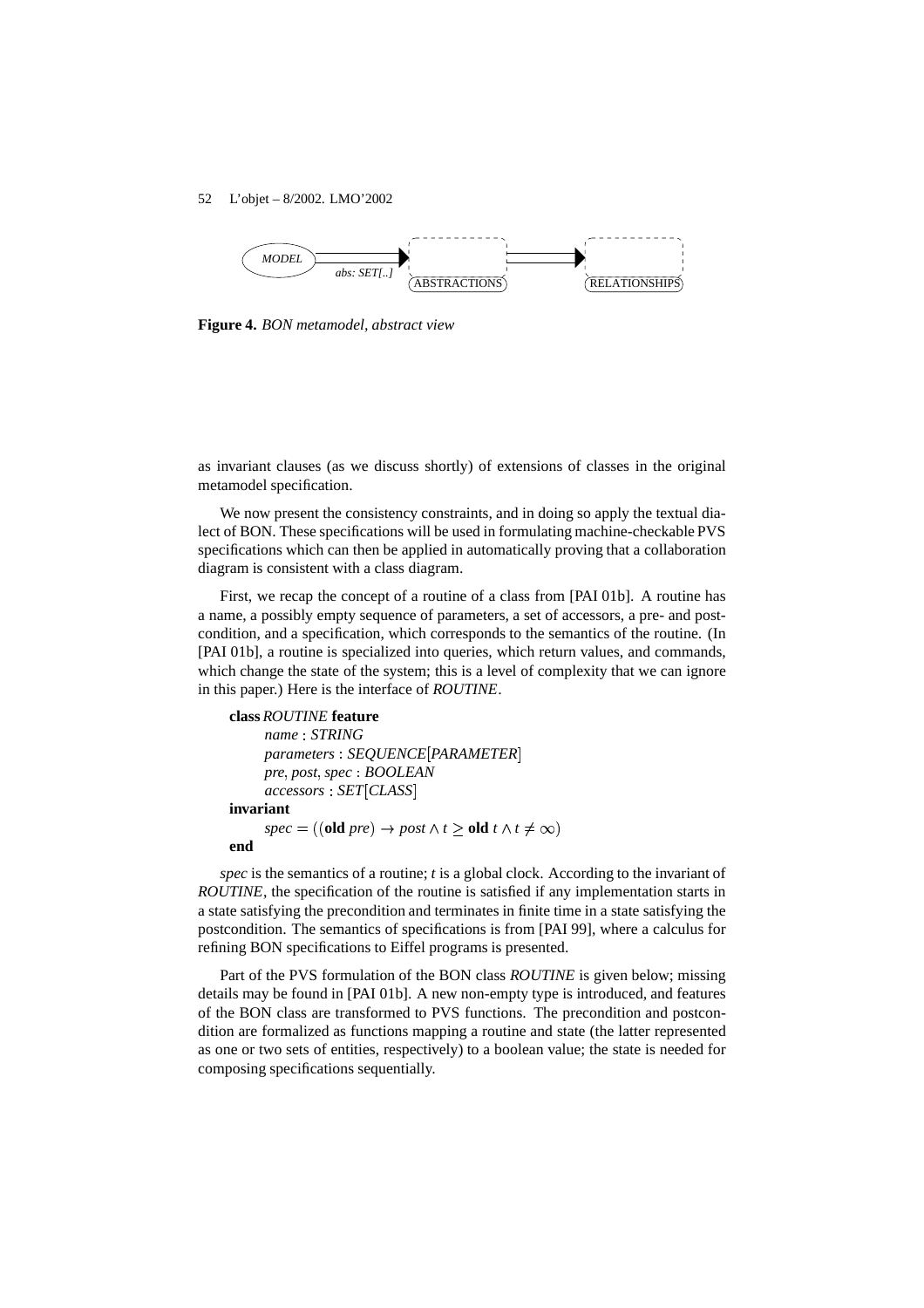

**Figure 4.** *BON metamodel, abstract view*

as invariant clauses (as we discuss shortly) of extensions of classes in the original metamodel specification.

We now present the consistency constraints, and in doing so apply the textual dialect of BON. These specifications will be used in formulating machine-checkable PVS specifications which can then be applied in automatically proving that a collaboration diagram is consistent with a class diagram.

First, we recap the concept of a routine of a class from [PAI 01b]. A routine has a name, a possibly empty sequence of parameters, a set of accessors, a pre- and postcondition, and a specification, which corresponds to the semantics of the routine. (In [PAI 01b], a routine is specialized into queries, which return values, and commands, which change the state of the system; this is a level of complexity that we can ignore in this paper.) Here is the interface of *ROUTINE*.

## **class** *ROUTINE* **feature**

```
name  STRING
      parameters  SEQUENCE 
PARAMETER-
      pre  post  spec  BOOLEAN
      accessors  SET 
CLASS-
invariant
      spec = ((\text{old } pre) \rightarrow post \land t \geq \text{old } t \land t \neq \infty)end
```
*spec* is the semantics of a routine; *t* is a global clock. According to the invariant of *ROUTINE*, the specification of the routine is satisfied if any implementation starts in a state satisfying the precondition and terminates in finite time in a state satisfying the postcondition. The semantics of specifications is from [PAI 99], where a calculus for refining BON specifications to Eiffel programs is presented.

Part of the PVS formulation of the BON class *ROUTINE* is given below; missing details may be found in [PAI 01b]. A new non-empty type is introduced, and features of the BON class are transformed to PVS functions. The precondition and postcondition are formalized as functions mapping a routine and state (the latter represented as one or two sets of entities, respectively) to a boolean value; the state is needed for composing specifications sequentially.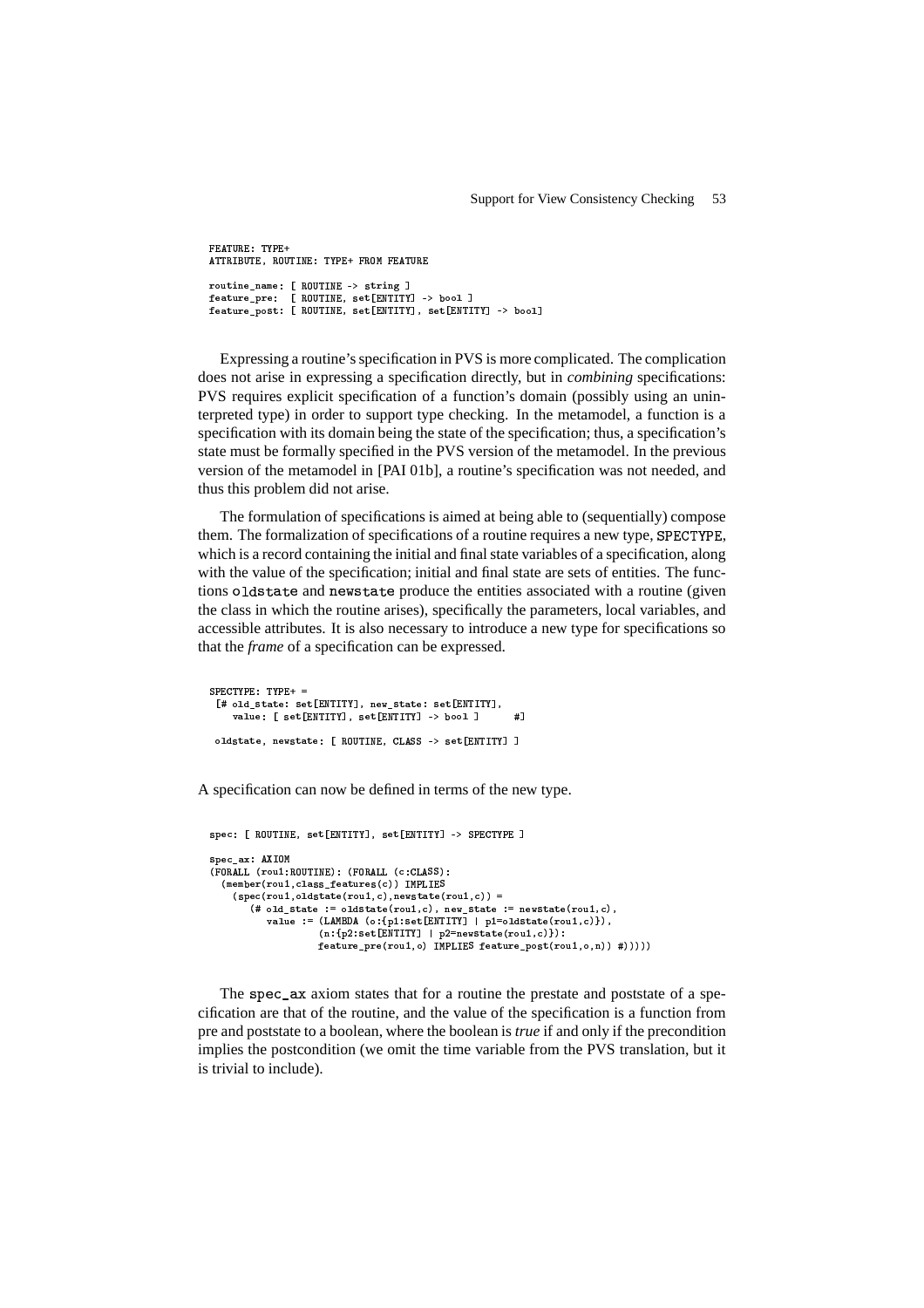FEATURE: TYPE+ ATTRIBUTE, ROUTINE: TYPE+ FROM FEATURE routine\_name: [ ROUTINE -> string ] feature\_pre: [ ROUTINE, set[ENTITY] -> bool ] feature\_post: [ ROUTINE, set[ENTITY], set[ENTITY] -> bool]

Expressing a routine's specification in PVS is more complicated. The complication does not arise in expressing a specification directly, but in *combining* specifications: PVS requires explicit specification of a function's domain (possibly using an uninterpreted type) in order to support type checking. In the metamodel, a function is a specification with its domain being the state of the specification; thus, a specification's state must be formally specified in the PVS version of the metamodel. In the previous version of the metamodel in [PAI 01b], a routine's specification was not needed, and thus this problem did not arise.

The formulation of specifications is aimed at being able to (sequentially) compose them. The formalization of specifications of a routine requires a new type, SPECTYPE, which is a record containing the initial and final state variables of a specification, along with the value of the specification; initial and final state are sets of entities. The functions oldstate and newstate produce the entities associated with a routine (given the class in which the routine arises), specifically the parameters, local variables, and accessible attributes. It is also necessary to introduce a new type for specifications so that the *frame* of a specification can be expressed.

```
SPECTYPE: TYPE++ =[# old_state: set[ENTITY], new_state: set[ENTITY],
    value: [ set [ENTITY], set [ENTITY] -> bool ]
                                                       \sharpoldstate, newstate: [ ROUTINE, CLASS -> set [ENTITY] ]
```
A specification can now be defined in terms of the new type.

```
spec: [ ROUTINE, set [ENTITY], set [ENTITY] -> SPECTYPE ]
spec_ax: AXIOM
(FORALL (rou1:ROUTINE): (FORALL (c:CLASS):
  (member (rou1, class_features(c)) IMPLIES
    (spec(rou1, oldstate(rou1, c), newstate(rou1, c)) =(# old_state := oldstate (rou1,c), new_state := newstate (rou1,c),<br>value := (LAMBDA (o:{p1:set[ENTITY] | p1=oldstate (rou1,c)}),
                       (n: {p2:set[ENTITY]} | p2=newstate(row1, c) :
                      feature_pre(rou1, o) IMPLIES feature_post(rou1, o, n)) #)))))
```
The spec\_ax axiom states that for a routine the prestate and poststate of a specification are that of the routine, and the value of the specification is a function from pre and poststate to a boolean, where the boolean is *true* if and only if the precondition implies the postcondition (we omit the time variable from the PVS translation, but it is trivial to include).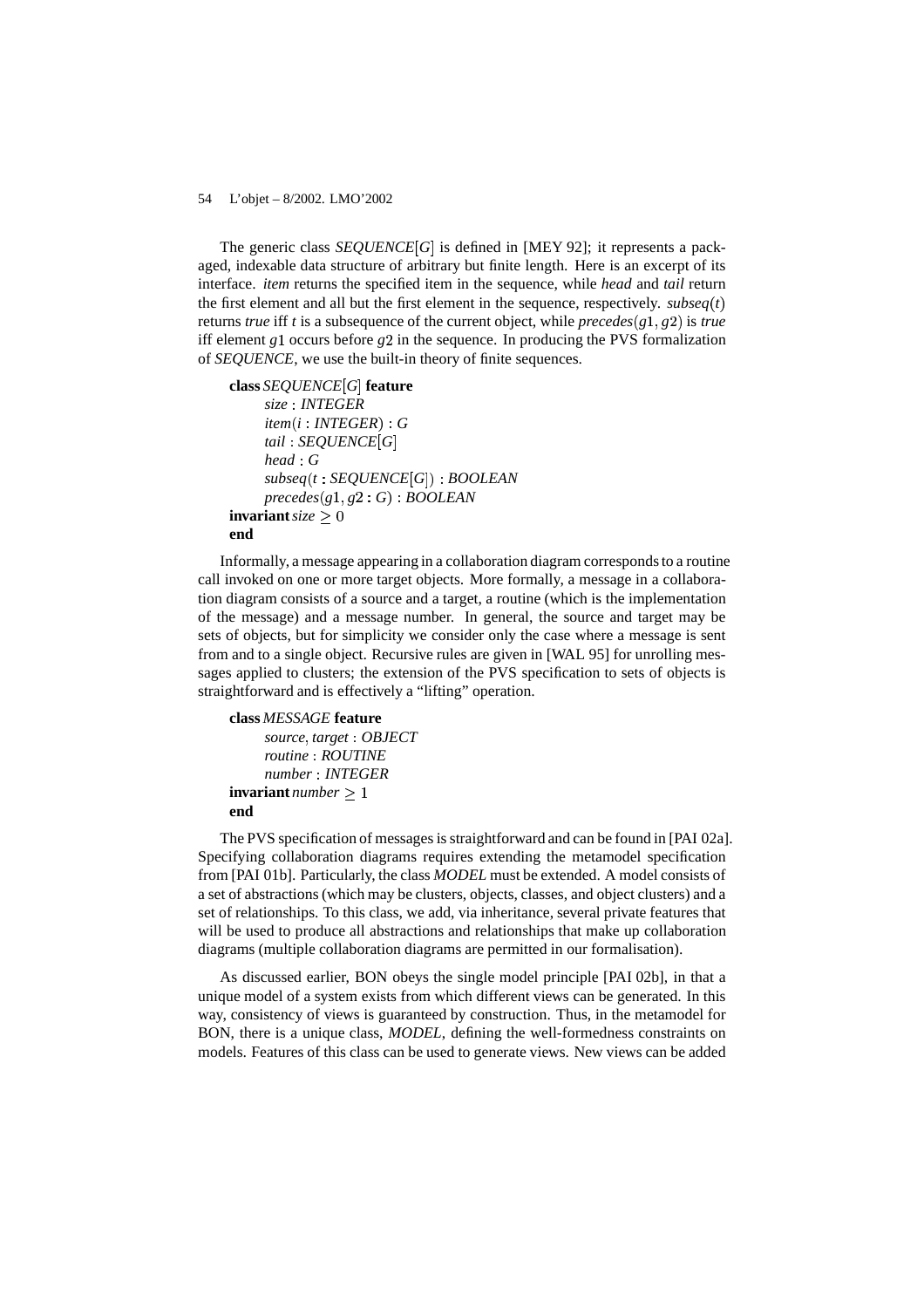The generic class *SEQUENCE*<sup>[G]</sup> is defined in [MEY 92]; it represents a packaged, indexable data structure of arbitrary but finite length. Here is an excerpt of its interface. *item* returns the specified item in the sequence, while *head* and *tail* return the first element and all but the first element in the sequence, respectively.  $subseq(t)$ returns *true* iff *t* is a subsequence of the current object, while *precedes*( $g_1, g_2$ ) is *true* iff element  $g_1$  occurs before  $g_2$  in the sequence. In producing the PVS formalization of *SEQUENCE*, we use the built-in theory of finite sequences.

```
class SEQUENCE 
G-
 feature
    size  INTEGER
    item(i : INTEGR): Gtail  SEQUENCE 
G-
    head  G
     subseq(t: SEQUENCE[G]): BOOLEANprecedes(g1, g2: G): BOOLEANinvariant size > 0end
```
Informally, a message appearing in a collaboration diagram corresponds to a routine call invoked on one or more target objects. More formally, a message in a collaboration diagram consists of a source and a target, a routine (which is the implementation of the message) and a message number. In general, the source and target may be sets of objects, but for simplicity we consider only the case where a message is sent from and to a single object. Recursive rules are given in [WAL 95] for unrolling messages applied to clusters; the extension of the PVS specification to sets of objects is straightforward and is effectively a "lifting" operation.

# **class** *MESSAGE* **feature**

```
source  target  OBJECT
    routine  ROUTINE
    number  INTEGER
invariant number 
end
```
The PVS specification of messages is straightforward and can be found in [PAI 02a]. Specifying collaboration diagrams requires extending the metamodel specification from [PAI 01b]. Particularly, the class *MODEL* must be extended. A model consists of a set of abstractions (which may be clusters, objects, classes, and object clusters) and a set of relationships. To this class, we add, via inheritance, several private features that will be used to produce all abstractions and relationships that make up collaboration diagrams (multiple collaboration diagrams are permitted in our formalisation).

As discussed earlier, BON obeys the single model principle [PAI 02b], in that a unique model of a system exists from which different views can be generated. In this way, consistency of views is guaranteed by construction. Thus, in the metamodel for BON, there is a unique class, *MODEL*, defining the well-formedness constraints on models. Features of this class can be used to generate views. New views can be added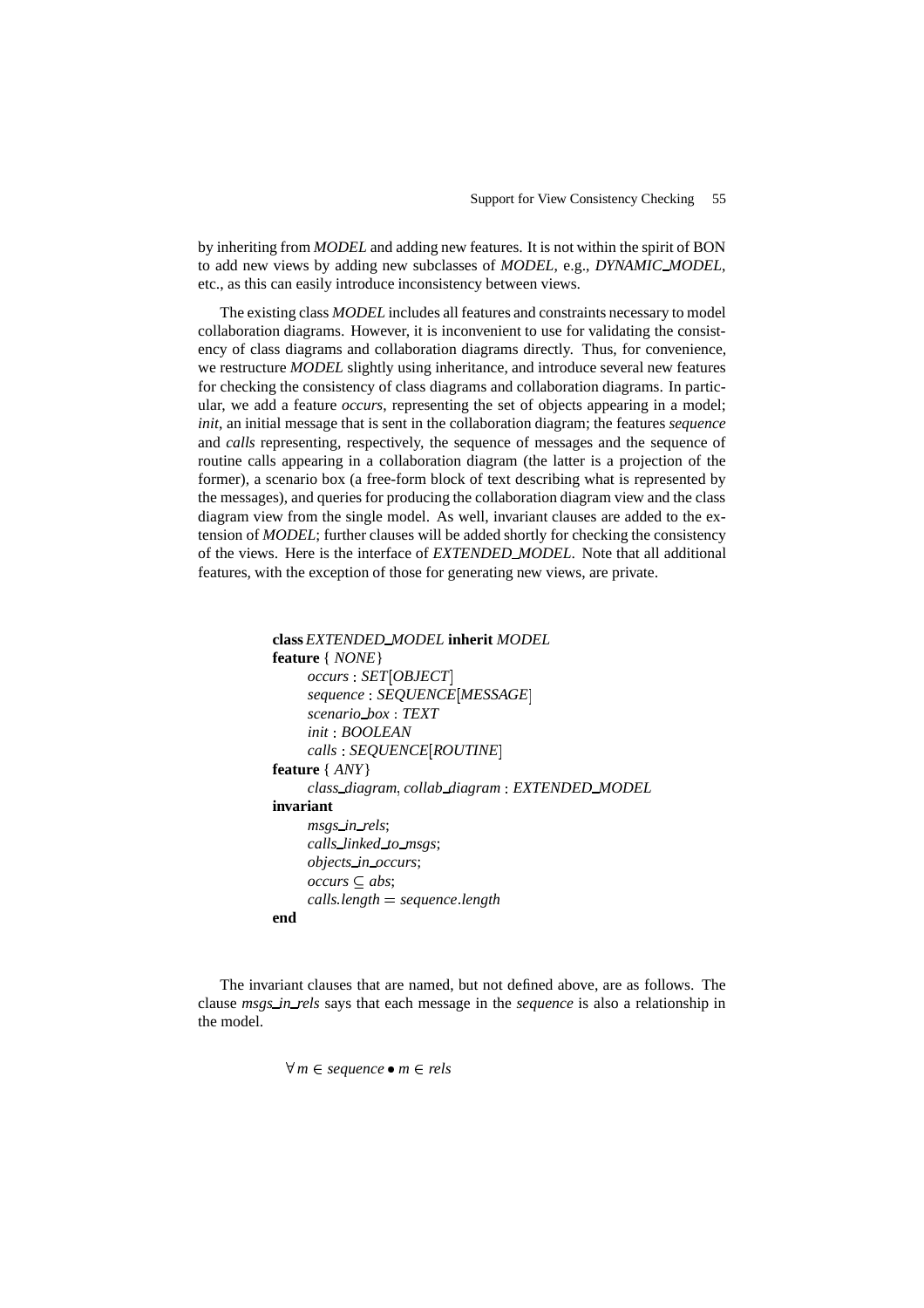by inheriting from *MODEL* and adding new features. It is not within the spirit of BON to add new views by adding new subclasses of *MODEL*, e.g., *DYNAMIC MODEL*, etc., as this can easily introduce inconsistency between views.

The existing class *MODEL* includes all features and constraints necessary to model collaboration diagrams. However, it is inconvenient to use for validating the consistency of class diagrams and collaboration diagrams directly. Thus, for convenience, we restructure *MODEL* slightly using inheritance, and introduce several new features for checking the consistency of class diagrams and collaboration diagrams. In particular, we add a feature *occurs*, representing the set of objects appearing in a model; *init*, an initial message that is sent in the collaboration diagram; the features *sequence* and *calls* representing, respectively, the sequence of messages and the sequence of routine calls appearing in a collaboration diagram (the latter is a projection of the former), a scenario box (a free-form block of text describing what is represented by the messages), and queries for producing the collaboration diagram view and the class diagram view from the single model. As well, invariant clauses are added to the extension of *MODEL*; further clauses will be added shortly for checking the consistency of the views. Here is the interface of *EXTENDED MODEL*. Note that all additional features, with the exception of those for generating new views, are private.

```
class EXTENDED MODEL inherit MODEL
feature { NONE}
     occurs : SET[OBIECT]sequence  SEQUENCE 
MESSAGE -
     scenario box  TEXT
     init  BOOLEAN
     calls  SEQUENCE 
ROUTINE -
feature { ANY}
     class diagram  collab diagram  EXTENDED MODEL
invariant
     msgs in rels;
     calls linked to msgs;
     objects in occurs;
     occurs \subseteq abs;calls  length  sequence  length
end
```
The invariant clauses that are named, but not defined above, are as follows. The clause *msgs in rels* says that each message in the *sequence* is also a relationship in the model.

 $\forall m \in sequence \bullet m \in rels$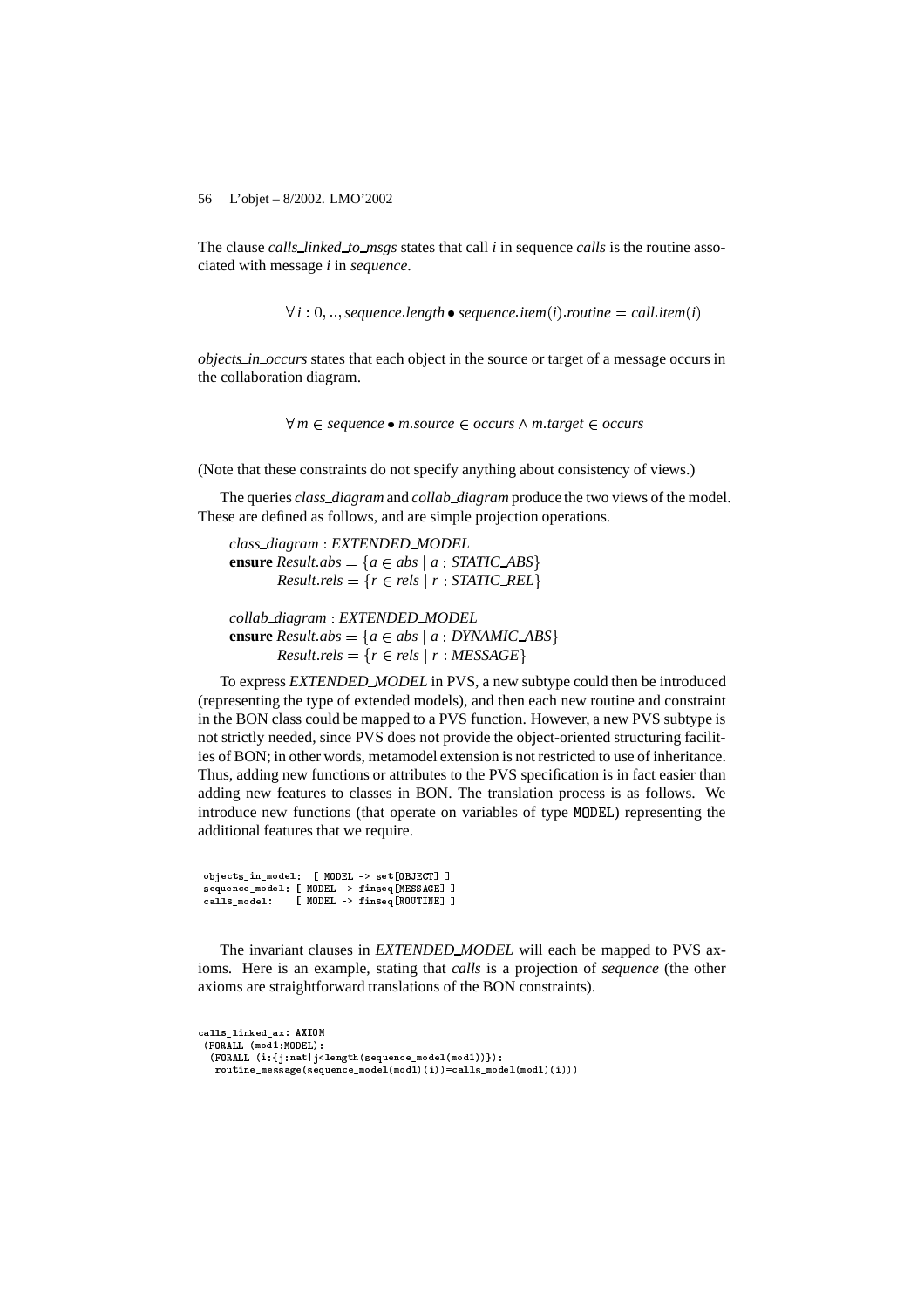The clause *calls linked to msgs* states that call *i* in sequence *calls* is the routine associated with message *i* in *sequence*.

 $\forall$  i : 0, ..., sequence length  $\bullet$  sequence item(i) routine  $=$  call item(i)

*objects in occurs* states that each object in the source or target of a message occurs in the collaboration diagram.

- *m sequence m source occurs m target occurs*

(Note that these constraints do not specify anything about consistency of views.)

The queries *class diagram* and *collab diagram* produce the two views of the model. These are defined as follows, and are simple projection operations.

*class diagram EXTENDED MODEL* **ensure**  $Result.abs = \{a \in abs \mid a : STATE\_ABS\}$  $Result. rels = {r \in rels \mid r : STATE\_REL}$ 

*collab diagram EXTENDED MODEL* **ensure**  $Result.abs = \{a \in abs \mid a : DYNAME \subseteq ABS\}$  $Result. rels = {r \in rels | r : MESSAGE}$ 

To express *EXTENDED MODEL* in PVS, a new subtype could then be introduced (representing the type of extended models), and then each new routine and constraint in the BON class could be mapped to a PVS function. However, a new PVS subtype is not strictly needed, since PVS does not provide the object-oriented structuring facilities of BON; in other words, metamodel extension is not restricted to use of inheritance. Thus, adding new functions or attributes to the PVS specification is in fact easier than adding new features to classes in BON. The translation process is as follows. We introduce new functions (that operate on variables of type MODEL) representing the additional features that we require.

objects\_in\_model: [ MODEL -> set[OBJECT] ] sequence\_model: [ MQDEL -> finseq[MESSAGE] ] calls\_model: [ MQDEL -> finseq[ROUTINE] ]

The invariant clauses in *EXTENDED MODEL* will each be mapped to PVS axioms. Here is an example, stating that *calls* is a projection of *sequence* (the other axioms are straightforward translations of the BON constraints).

```
calls_linked_ax: AXIOM
 \epsilon - \epsilon - \epsilon - \epsilon as a \epsilon . Worder \lambda .
  (FORALL (i:{j:nat|j<length(sequence_model(mod1))}):
   {\tt routine\_message} (sequence_model(mod1)(i))=calls_model(mod1)(i)))
```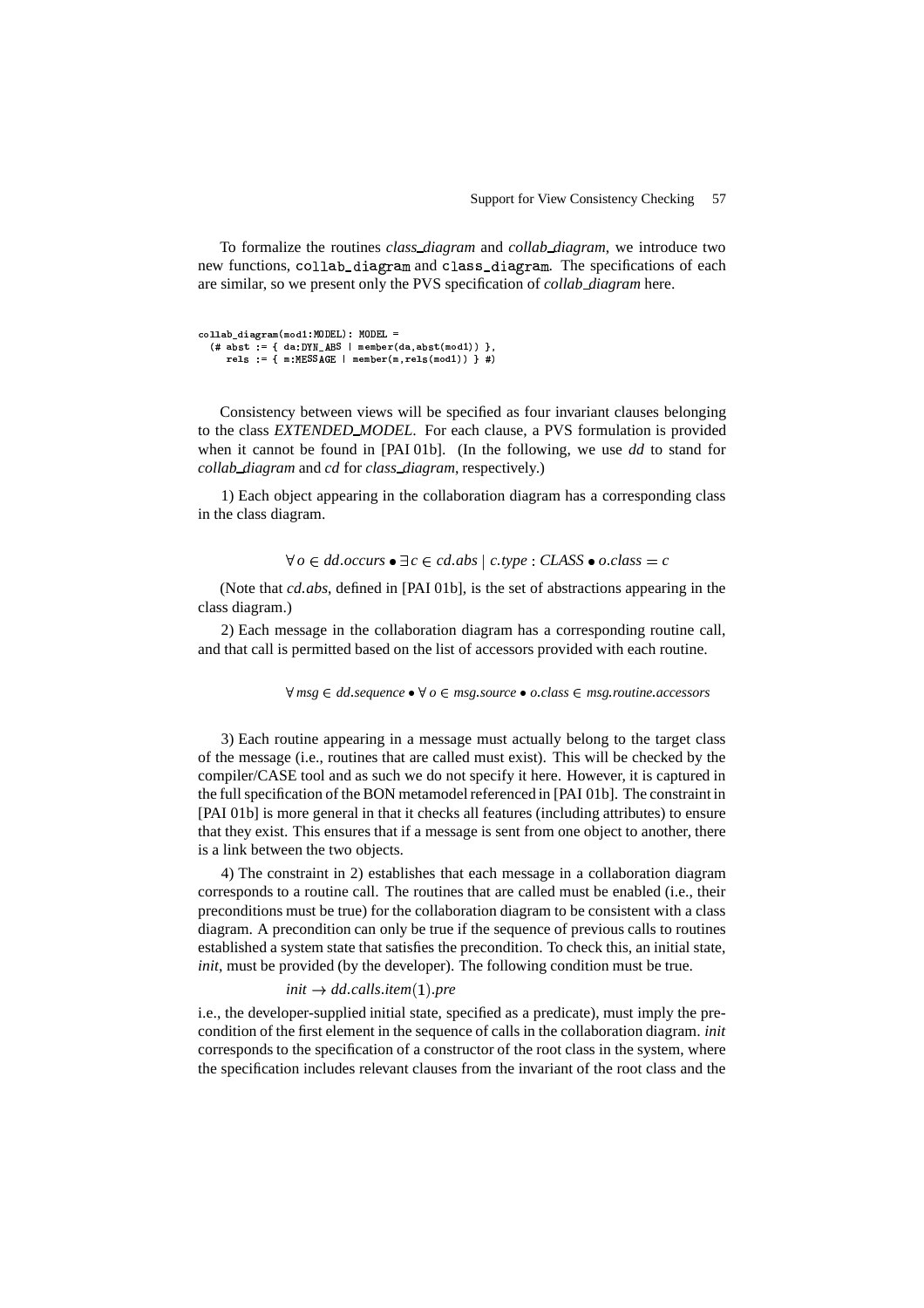To formalize the routines *class diagram* and *collab diagram*, we introduce two new functions, collab\_diagram and class\_diagram. The specifications of each are similar, so we present only the PVS specification of *collab diagram* here.

```
collab_diagram(mod1:MODEL): MODEL =
  (# abst := { da:DYN_ABS | member(da,abst(mod1)) },
     \mathbf{v} \cdot \mathbf{v} = \mathbf{v} \cdot \mathbf{v} = \mathbf{v} \cdot \mathbf{v}
```
Consistency between views will be specified as four invariant clauses belonging to the class *EXTENDED MODEL*. For each clause, a PVS formulation is provided when it cannot be found in [PAI 01b]. (In the following, we use *dd* to stand for *collab diagram* and *cd* for *class diagram*, respectively.)

1) Each object appearing in the collaboration diagram has a corresponding class in the class diagram.

 $\forall$   $o \in$   $dd.occurs \bullet \exists c \in cd.abs \mid c.type : CLASS \bullet o.class = c$ 

(Note that *cd abs*, defined in [PAI 01b], is the set of abstractions appearing in the class diagram.)

2) Each message in the collaboration diagram has a corresponding routine call, and that call is permitted based on the list of accessors provided with each routine.

 $\forall$  *msg*  $\in$  *dd sequence*  $\bullet$   $\forall$  *o*  $\in$  *msg source*  $\bullet$  *o class*  $\in$  *msg routine accessors* 

3) Each routine appearing in a message must actually belong to the target class of the message (i.e., routines that are called must exist). This will be checked by the compiler/CASE tool and as such we do not specify it here. However, it is captured in the full specification of the BON metamodel referenced in [PAI 01b]. The constraint in [PAI 01b] is more general in that it checks all features (including attributes) to ensure that they exist. This ensures that if a message is sent from one object to another, there is a link between the two objects.

4) The constraint in 2) establishes that each message in a collaboration diagram corresponds to a routine call. The routines that are called must be enabled (i.e., their preconditions must be true) for the collaboration diagram to be consistent with a class diagram. A precondition can only be true if the sequence of previous calls to routines established a system state that satisfies the precondition. To check this, an initial state, *init*, must be provided (by the developer). The following condition must be true.

## $init \rightarrow dd$  *calls item*(1) *pre*

i.e., the developer-supplied initial state, specified as a predicate), must imply the precondition of the first element in the sequence of calls in the collaboration diagram. *init* corresponds to the specification of a constructor of the root class in the system, where the specification includes relevant clauses from the invariant of the root class and the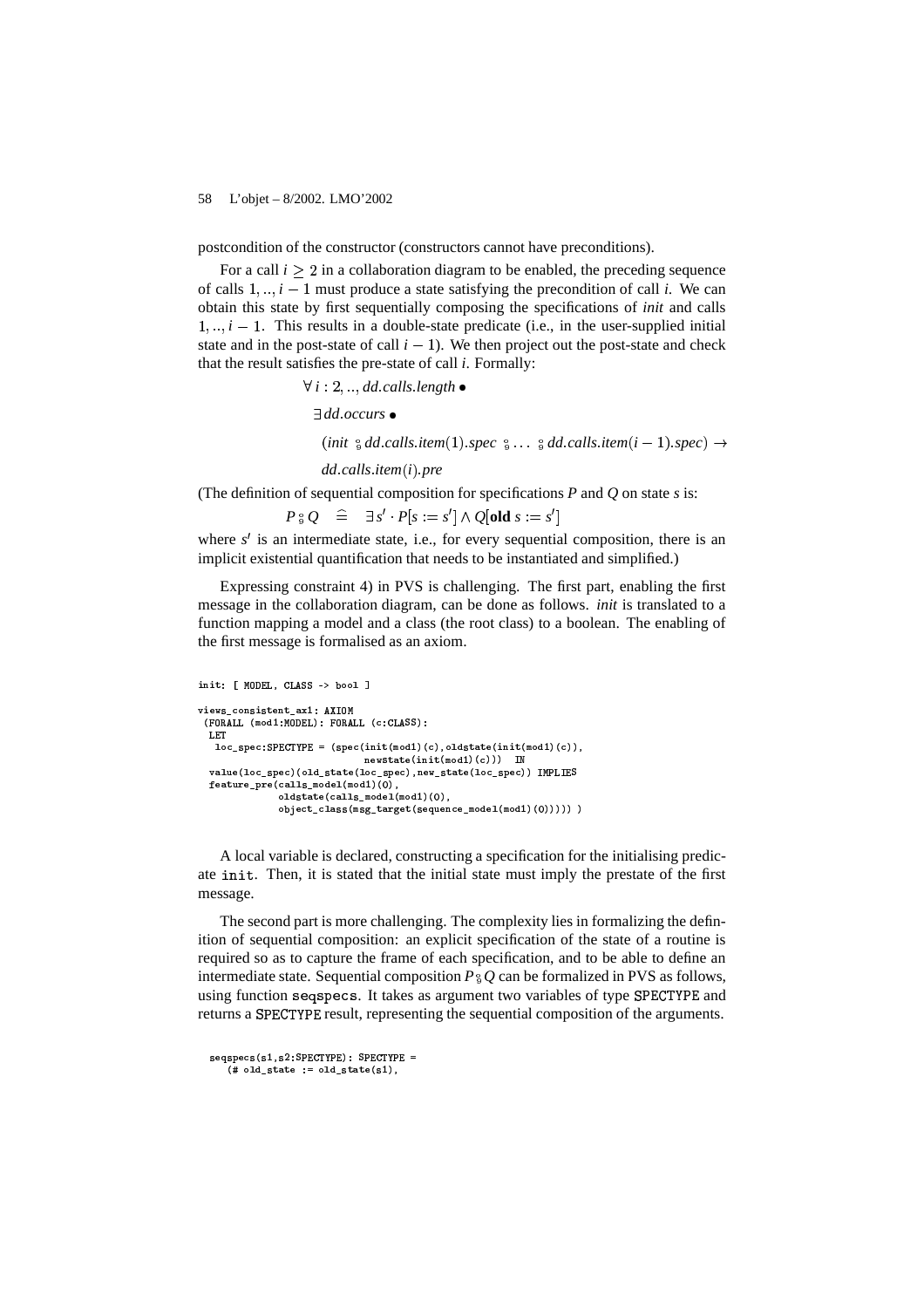postcondition of the constructor (constructors cannot have preconditions).

For a call  $i > 2$  in a collaboration diagram to be enabled, the preceding sequence of calls  $1, \ldots, i-1$  must produce a state satisfying the precondition of call i. We can obtain this state by first sequentially composing the specifications of *init* and calls  $1, \ldots, i-1$ . This results in a double-state predicate (i.e., in the user-supplied initial state and in the post-state of call  $i - 1$ ). We then project out the post-state and check that the result satisfies the pre-state of call  $i$ . Formally:

 $\forall i: 2, \ldots$  dd calls length

 $\exists dd. occurs$  •

(init  $\frac{1}{8}$  dd.calls.item(1).spec  $\frac{1}{8} \dots \frac{1}{8}$  dd.calls.item(i - 1).spec)  $\rightarrow$ 

 $dd$  calls item $(i)$  pre

(The definition of sequential composition for specifications  $P$  and  $Q$  on state  $s$  is:

 $P_{\vartheta} Q \cong \exists s' \cdot P[s := s'] \wedge Q[\text{old } s := s']$ 

where  $s'$  is an intermediate state, i.e., for every sequential composition, there is an implicit existential quantification that needs to be instantiated and simplified.)

Expressing constraint 4) in PVS is challenging. The first part, enabling the first message in the collaboration diagram, can be done as follows. *init* is translated to a function mapping a model and a class (the root class) to a boolean. The enabling of the first message is formalised as an axiom.

```
init: [ MODEL, CLASS -> bool ]
views consistent ax1: AXIOM
 (FORALL (mod1:MODEL): FORALL (c:CLASS):
  LET
  loc\_spec: SPECTYPE = (spec(int (mod1)(c), oldstate(int (mod1)(c)),newstate(int(mod1)(c))) IN
  value(loc_spec)(old_state(loc_spec),new_state(loc_spec)) IMPLIES
  feature_pre(calls_model(mod1)(0),
              oldstate(calls_model(mod1)(0),
              object_class(msg_target(sequence_model(mod1)(0)))))))
```
A local variable is declared, constructing a specification for the initialising predicate init. Then, it is stated that the initial state must imply the prestate of the first message.

The second part is more challenging. The complexity lies in formalizing the definition of sequential composition: an explicit specification of the state of a routine is required so as to capture the frame of each specification, and to be able to define an intermediate state. Sequential composition  $P_{\alpha} Q$  can be formalized in PVS as follows, using function seqspecs. It takes as argument two variables of type SPECTYPE and returns a SPECTYPE result, representing the sequential composition of the arguments.

```
segspecs(s1,s2;SPECTYPE): SPECTYPE =# old-state := old-state(s1),
```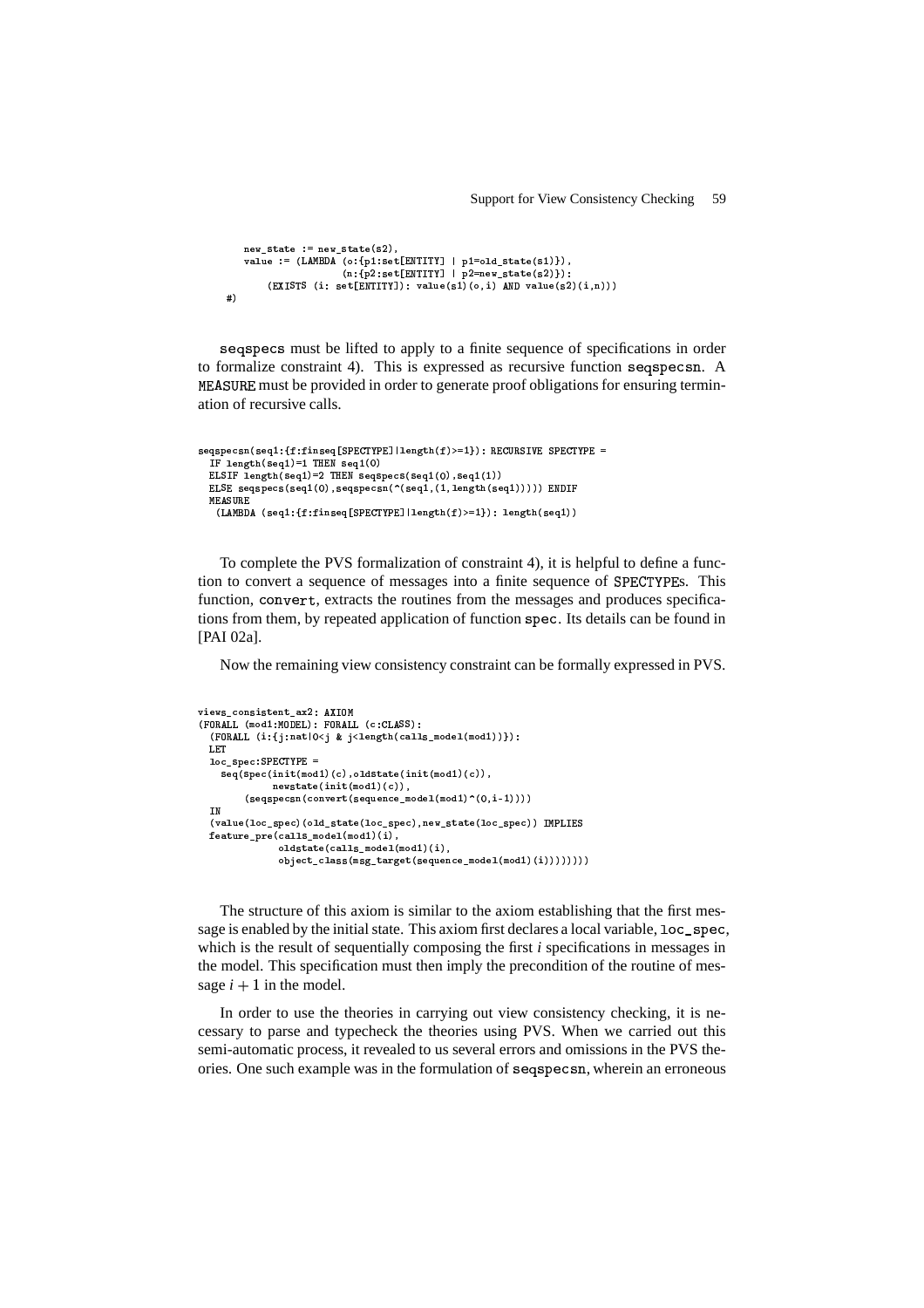```
new\_state := new\_state(s2),
    value := (LAMBDA (o:{p1:set[ENTITY] | p1=old_state(s1)}),
         (n:{p2:set[ENTITY] | p2=new_state(s2)});<br>(EXISTS (i: set[ENTITY]): value(s1)(o,i) AND value(s2)(i,n)))
\pm)
```
segspecs must be lifted to apply to a finite sequence of specifications in order to formalize constraint 4). This is expressed as recursive function segspecsn. A MEASURE must be provided in order to generate proof obligations for ensuring termination of recursive calls.

```
seqspecsn(seq1:{f:finseq[SPECTYPE]|length(f)>=1}): RECURSIVE SPECTYPE =
 IF length \frac{1}{1} (seq1)=1 THEN seq1(0)
 ELSIF length(seq1)=2 THEN seqspecs(seq1(0),seq1(1))
  ELSE seqspecs(seq1(0), seqspecsn(^(seq1,(1, length(seq1))))) ENDIF
 MEASURE
   (LAMBDA (seq1:{f:finseq[SPECTYPE]|length(f)>=1}): length(seq1))
```
To complete the PVS formalization of constraint 4), it is helpful to define a function to convert a sequence of messages into a finite sequence of SPECTYPEs. This function, convert, extracts the routines from the messages and produces specifications from them, by repeated application of function spec. Its details can be found in [PAI 02a].

Now the remaining view consistency constraint can be formally expressed in PVS.

```
views consistent_ax2: AXIOM
(FORALL (mod1:MODEL): FORALL (c:CLASS):
  (FORALL (i: {j:nat | 0 < j & j < length(calls_model(mod1)))}) :LET
  loc\_spec:SPECTYPE =seq(spec(init(mod1)(c),oldstate(init(mod1)(c)),
              newstate(int(mod1)(c)),
         (\texttt{segspecsn}(\texttt{convert}(\texttt{sequence_model}(\texttt{mod1})^*(0,i-1))))IN
  (value(loc_spec)(old_state(loc_spec),new_state(loc_spec)) IMPLIES
  feature\_pre(calls_model(mod1)(i),{\tt oldstate}({\tt calls\_model}({\tt mod1})\left(i\right),object_class(msg_target(sequence_model(mod1)(i)))))))))
```
The structure of this axiom is similar to the axiom establishing that the first message is enabled by the initial state. This axiom first declares a local variable, loc spec, which is the result of sequentially composing the first  $i$  specifications in messages in the model. This specification must then imply the precondition of the routine of message  $i + 1$  in the model.

In order to use the theories in carrying out view consistency checking, it is necessary to parse and typecheck the theories using PVS. When we carried out this semi-automatic process, it revealed to us several errors and omissions in the PVS theories. One such example was in the formulation of seqspecsn, wherein an erroneous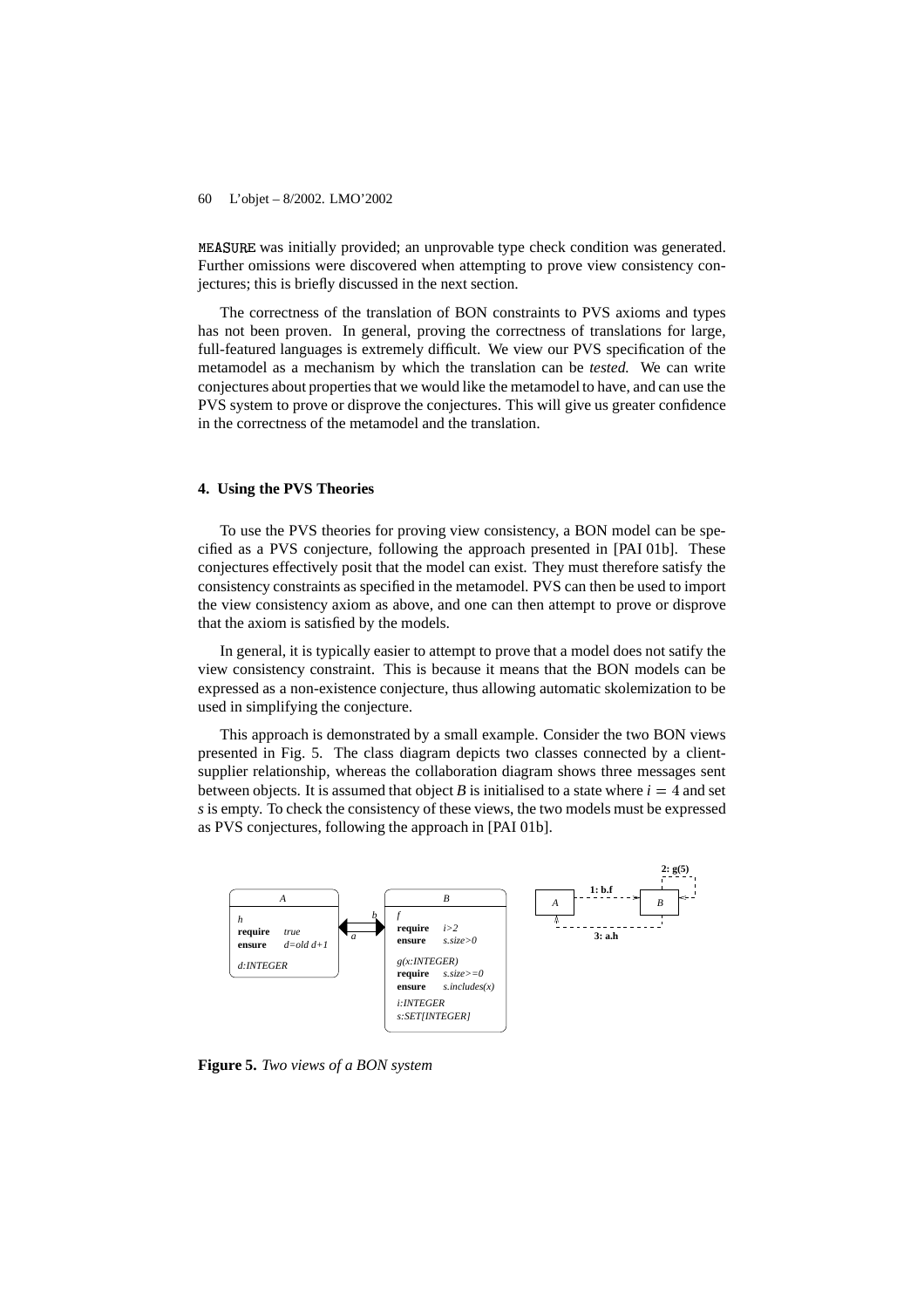MEASURE was initially provided; an unprovable type check condition was generated. Further omissions were discovered when attempting to prove view consistency conjectures; this is briefly discussed in the next section.

The correctness of the translation of BON constraints to PVS axioms and types has not been proven. In general, proving the correctness of translations for large, full-featured languages is extremely difficult. We view our PVS specification of the metamodel as a mechanism by which the translation can be *tested.* We can write conjectures about propertiesthat we would like the metamodel to have, and can use the PVS system to prove or disprove the conjectures. This will give us greater confidence in the correctness of the metamodel and the translation.

# **4. Using the PVS Theories**

To use the PVS theories for proving view consistency, a BON model can be specified as a PVS conjecture, following the approach presented in [PAI 01b]. These conjectures effectively posit that the model can exist. They must therefore satisfy the consistency constraints as specified in the metamodel. PVS can then be used to import the view consistency axiom as above, and one can then attempt to prove or disprove that the axiom is satisfied by the models.

In general, it is typically easier to attempt to prove that a model does not satify the view consistency constraint. This is because it means that the BON models can be expressed as a non-existence conjecture, thus allowing automatic skolemization to be used in simplifying the conjecture.

This approach is demonstrated by a small example. Consider the two BON views presented in Fig. 5. The class diagram depicts two classes connected by a clientsupplier relationship, whereas the collaboration diagram shows three messages sent between objects. It is assumed that object *B* is initialised to a state where  $i = 4$  and set *s* is empty. To check the consistency of these views, the two models must be expressed as PVS conjectures, following the approach in [PAI 01b].



**Figure 5.** *Two views of a BON system*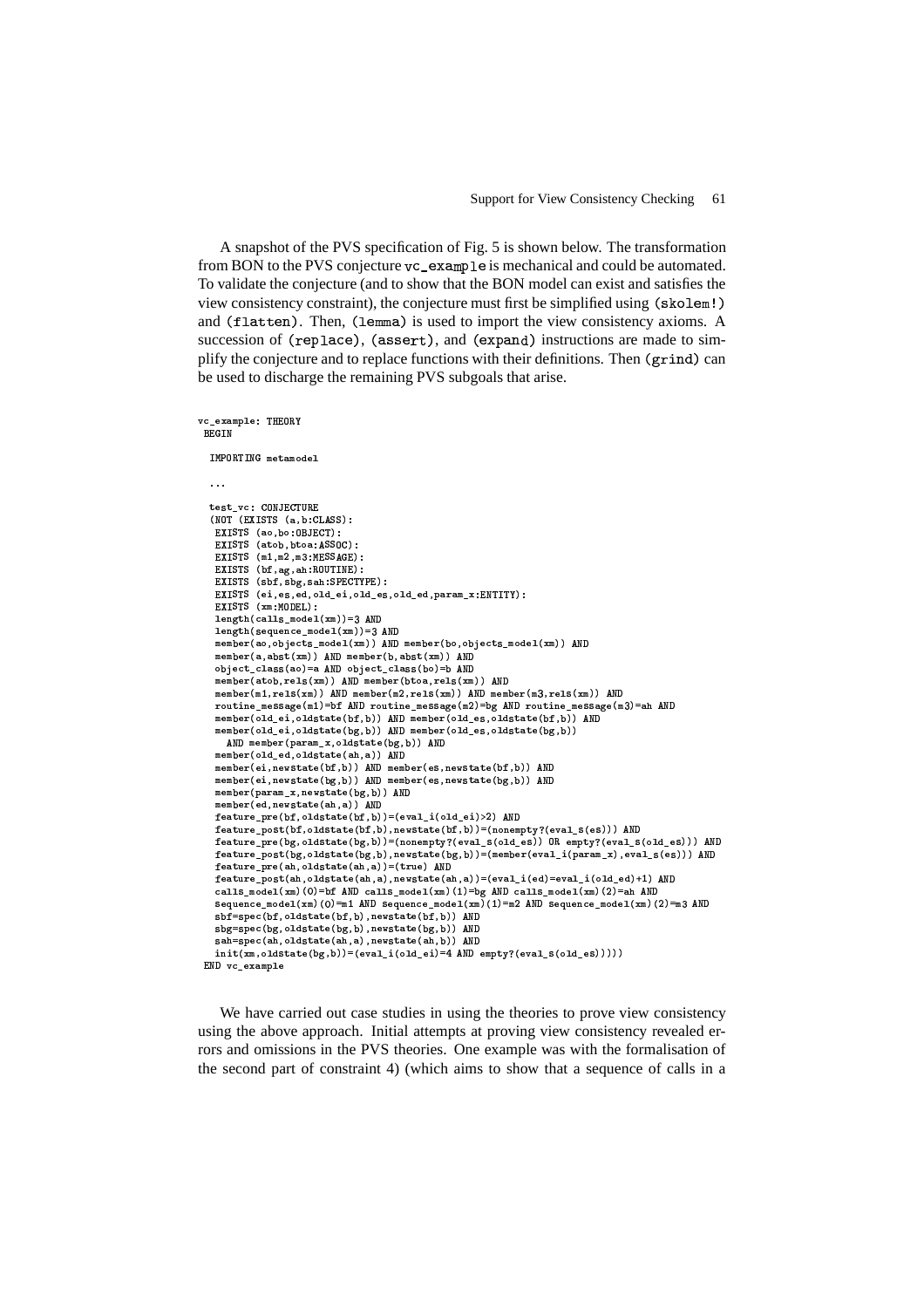A snapshot of the PVS specification of Fig. 5 is shown below. The transformation from BON to the PVS conjecture  $vc\_example$  is mechanical and could be automated. To validate the conjecture (and to show that the BON model can exist and satisfies the view consistency constraint), the conjecture must first be simplified using  $(\text{skolem!})$ and (flatten). Then, (lemma) is used to import the view consistency axioms. A succession of  $(replace)$ ,  $(assert)$ , and  $(exband)$  instructions are made to simplify the conjecture and to replace functions with their definitions. Then (grind) can be used to discharge the remaining PVS subgoals that arise.

```
vc_example: THEORY
 -
$
   TMDDTTML \text{m}. . . .
   test_vc: CONJECTURE<br>(NOT (FYICTO ( ) of 100)
    EVICTO (as he ORIGOT).
    d VV e (" 9Nj9" -
( 	j V-
V Wgh	 D Y TAMA / 1 O O MOALAN
    d v e de la diversitation de la constantidation de la constantidation de la constantidation de la constantidat
    ny cano / 1 c 1 1 . (Innomynn)
    \texttt{EXISTS} (ei,es,ed,old_ei,old_es,old_ed,param_x:ENTITY):
    \mathbf{u} \mathbf{v} and \mathbf{v} \mathbf{v} and \mathbf{v}length(calls_model(xm))=3 AND
    length(sequence_model(xm))=3 AND
    member(ao,objects_model(xm)) AND member(bo,objects_model(xm)) AND
    )$&)9 & e (  (9/ " e c)gg<-
k )$&)9 & e 9N (9/ " e c)gg<-
k
    object_class(ao)=a AND object_class(bo)=b AND
    \blacksquare ) \blacksquare ( \blacksquare ) \blacksquare ( \blacksquare ) \blacksquare ( \blacksquare ) \blacksquare ( \blacksquare ) \blacksquaret / e -/ \\ lum t / o -/ \\ lum t / o -/ \\ lum
    routine_message(m1)=bf AND routine_message(m2)=bg AND routine_message(m3)=ah AND
    member(old_ei,oldstate(bf,b)) AND member(old_es,oldstate(bf,b)) AND
    member(old_ei,oldstate(bg,b)) AND member(old_es,oldstate(bg,b))
       AND member(param_x,oldstate(bg,b)) AND
    )$&)9 & e -
;\'-
&-
\  -
;\ / "("& e (  ( g-
gb-
k \ell , \ell , and \ell , \ell , \ell , \ell , \ell , \ell , \ell , \ell , \ell , \ell , \ell , \ell , \ell , \ell , \ell , \ell , \ell , \ell , \ell , \ell , \ell , \ell , \ell , \ell , \ell , \ell , \ell , \ell , \ell , 
    \left\{ \begin{array}{ccc} 0 & \mathbf{1} & \mathbf{1} & \mathbf{1} & \mathbf{1} & \mathbf{1} & \mathbf{1} & \mathbf{1} & \mathbf{1} & \mathbf{1} & \mathbf{1} & \mathbf{1} & \mathbf{1} & \mathbf{1} & \mathbf{1} & \mathbf{1} & \mathbf{1} & \mathbf{1} & \mathbf{1} & \mathbf{1} & \mathbf{1} & \mathbf{1} & \mathbf{1} & \mathbf{1} & \mathbf{1} & \mathbf{1} & \mathbf{1} & \mathbf{1} & \mathbf{1} & \mathbf{1} & \mathbfmember(param_x,newstate(bg,b)) AND
    )$&)9 & e &\  %$&] / "("$& e (  ( g-
g<k
    feature_pre(bf,oldstate(bf,b))=(eval_i(old_ei)>2)    AND
    \texttt{feature\_post}(\texttt{bf}, \texttt{oldstate}(\texttt{bf}, \texttt{b}), \texttt{newstate}(\texttt{bf}, \texttt{b})) \texttt{= (none{\texttt{mpt}}{\texttt{y}}?(\texttt{eval\_s}(\texttt{es}))) \texttt{ AND}feature_pre(bg,oldstate(bg,b))=(nonempty?(eval_s(old_es)) OR empty?(eval_s(old_es))) AND
    feature_post(bg,oldstate(bg,b),newstate(bg,b))=(member(eval_i(param_x),eval_s(es))) AND
    feature_pre(ah,oldstate(ah,a))=(true) AND
    \texttt{feature\_post}(\texttt{ah}, \texttt{oldstate}(\texttt{ah}, \texttt{a}), \texttt{newstate}(\texttt{ah}, \texttt{a})) \texttt{=} (\texttt{eval\_i}(\texttt{ed}) \texttt{=eval\_i}(\texttt{old\_ed}) \texttt{+1}) ~~\texttt{AND}calls_model(xm)(0)=bf AND calls_model(xm)(1)=bg AND calls_model(xm)(2)=ah AND
    sequence_model(xm)(0)=m1 AND sequence_model(xm)(1)=m2 AND sequence_model(xm)(2)=m3 AND
    \mathcal{G} , \mathcal{G} , \mathcal{G} , \mathcal{G} , \mathcal{G} , \mathcal{G} , \mathcal{G} , \mathcal{G} , \mathcal{G} , \mathcal{G} , \mathcal{G} , \mathcal{G} , \mathcal{G} , \mathcal{G} , \mathcal{G} , \mathcal{G} , \mathcal{G} , \mathcal{G} , \mathcal{G} , \mathcal{G} , -1 /1 19 19 /1 1) -1 /1 1) 1110
    \sim , \sim , \sim , \sim , \sim , \sim , \sim , \sim , \sim , \sim , \sim , \sim , \sim , \sim , \sim , \sim , \sim , \sim , \sim , \sim , \sim , \sim , \sim , \sim , \sim , \sim , \sim , \sim , \sim , \sim , \sim , \siminit(xm,oldstate(bg,b))=(eval_i(old_ei)=4 AND empty?(eval_s(old_es)))))
 END vc_example
```
We have carried out case studies in using the theories to prove view consistency using the above approach. Initial attempts at proving view consistency revealed errors and omissions in the PVS theories. One example was with the formalisation of the second part of constraint 4) (which aims to show that a sequence of calls in a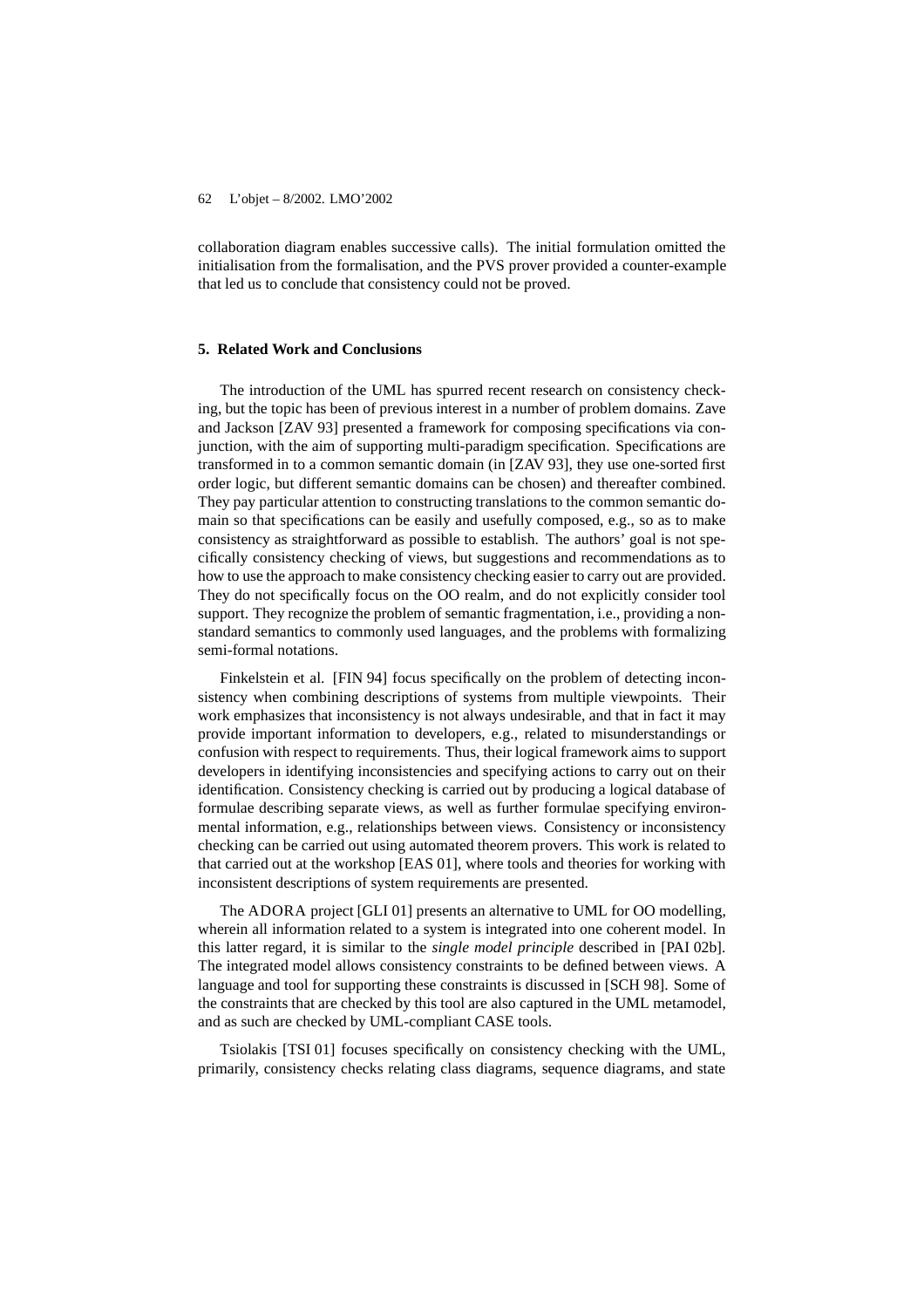collaboration diagram enables successive calls). The initial formulation omitted the initialisation from the formalisation, and the PVS prover provided a counter-example that led us to conclude that consistency could not be proved.

## **5. Related Work and Conclusions**

The introduction of the UML has spurred recent research on consistency checking, but the topic has been of previous interest in a number of problem domains. Zave and Jackson [ZAV 93] presented a framework for composing specifications via conjunction, with the aim of supporting multi-paradigm specification. Specifications are transformed in to a common semantic domain (in [ZAV 93], they use one-sorted first order logic, but different semantic domains can be chosen) and thereafter combined. They pay particular attention to constructing translations to the common semantic domain so that specifications can be easily and usefully composed, e.g., so as to make consistency as straightforward as possible to establish. The authors' goal is not specifically consistency checking of views, but suggestions and recommendations as to how to use the approach to make consistency checking easier to carry out are provided. They do not specifically focus on the OO realm, and do not explicitly consider tool support. They recognize the problem of semantic fragmentation, i.e., providing a nonstandard semantics to commonly used languages, and the problems with formalizing semi-formal notations.

Finkelstein et al. [FIN 94] focus specifically on the problem of detecting inconsistency when combining descriptions of systems from multiple viewpoints. Their work emphasizes that inconsistency is not always undesirable, and that in fact it may provide important information to developers, e.g., related to misunderstandings or confusion with respect to requirements. Thus, their logical framework aims to support developers in identifying inconsistencies and specifying actions to carry out on their identification. Consistency checking is carried out by producing a logical database of formulae describing separate views, as well as further formulae specifying environmental information, e.g., relationships between views. Consistency or inconsistency checking can be carried out using automated theorem provers. This work is related to that carried out at the workshop [EAS 01], where tools and theories for working with inconsistent descriptions of system requirements are presented.

The ADORA project [GLI 01] presents an alternative to UML for OO modelling, wherein all information related to a system is integrated into one coherent model. In this latter regard, it is similar to the *single model principle* described in [PAI 02b]. The integrated model allows consistency constraints to be defined between views. A language and tool for supporting these constraints is discussed in [SCH 98]. Some of the constraints that are checked by this tool are also captured in the UML metamodel, and as such are checked by UML-compliant CASE tools.

Tsiolakis [TSI 01] focuses specifically on consistency checking with the UML, primarily, consistency checks relating class diagrams, sequence diagrams, and state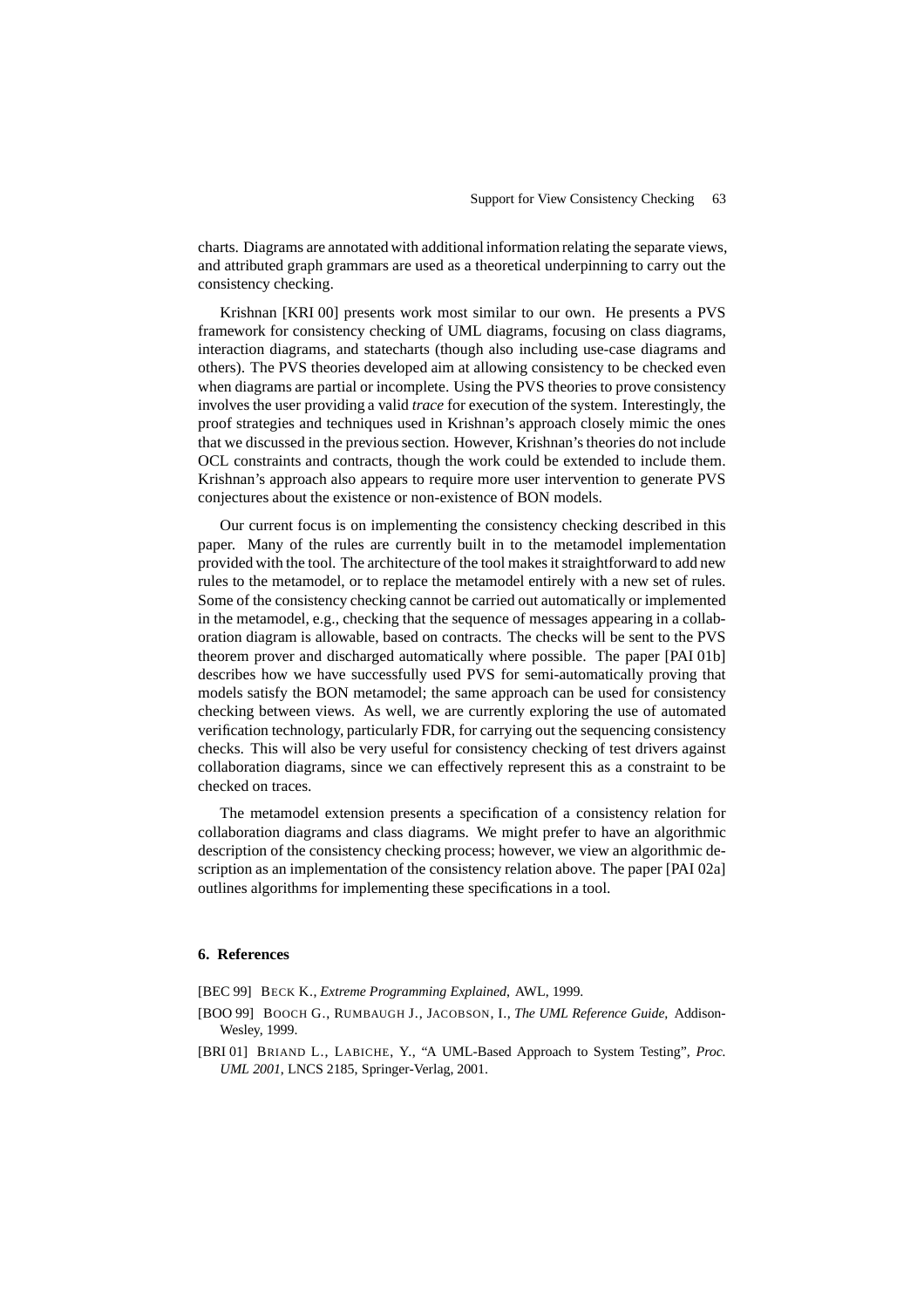charts. Diagrams are annotated with additional information relating the separate views, and attributed graph grammars are used as a theoretical underpinning to carry out the consistency checking.

Krishnan [KRI 00] presents work most similar to our own. He presents a PVS framework for consistency checking of UML diagrams, focusing on class diagrams, interaction diagrams, and statecharts (though also including use-case diagrams and others). The PVS theories developed aim at allowing consistency to be checked even when diagrams are partial or incomplete. Using the PVS theories to prove consistency involves the user providing a valid *trace* for execution of the system. Interestingly, the proof strategies and techniques used in Krishnan's approach closely mimic the ones that we discussed in the previoussection. However, Krishnan's theories do not include OCL constraints and contracts, though the work could be extended to include them. Krishnan's approach also appears to require more user intervention to generate PVS conjectures about the existence or non-existence of BON models.

Our current focus is on implementing the consistency checking described in this paper. Many of the rules are currently built in to the metamodel implementation provided with the tool. The architecture of the tool makesit straightforward to add new rules to the metamodel, or to replace the metamodel entirely with a new set of rules. Some of the consistency checking cannot be carried out automatically or implemented in the metamodel, e.g., checking that the sequence of messages appearing in a collaboration diagram is allowable, based on contracts. The checks will be sent to the PVS theorem prover and discharged automatically where possible. The paper [PAI 01b] describes how we have successfully used PVS for semi-automatically proving that models satisfy the BON metamodel; the same approach can be used for consistency checking between views. As well, we are currently exploring the use of automated verification technology, particularly FDR, for carrying out the sequencing consistency checks. This will also be very useful for consistency checking of test drivers against collaboration diagrams, since we can effectively represent this as a constraint to be checked on traces.

The metamodel extension presents a specification of a consistency relation for collaboration diagrams and class diagrams. We might prefer to have an algorithmic description of the consistency checking process; however, we view an algorithmic description as an implementation of the consistency relation above. The paper [PAI 02a] outlines algorithms for implementing these specifications in a tool.

## **6. References**

[BEC 99] BECK K., *Extreme Programming Explained*, AWL, 1999.

- [BOO 99] BOOCH G., RUMBAUGH J., JACOBSON, I., *The UML Reference Guide,* Addison-Wesley, 1999.
- [BRI 01] BRIAND L., LABICHE, Y., "A UML-Based Approach to System Testing", *Proc. UML 2001*, LNCS 2185, Springer-Verlag, 2001.